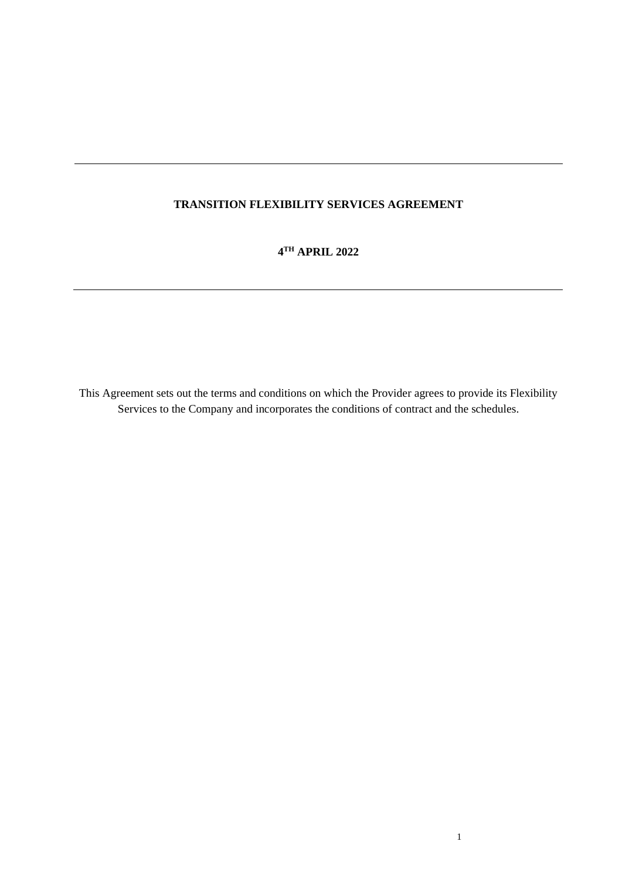# **TRANSITION FLEXIBILITY SERVICES AGREEMENT**

**4 TH APRIL 2022**

This Agreement sets out the terms and conditions on which the Provider agrees to provide its Flexibility Services to the Company and incorporates the conditions of contract and the schedules.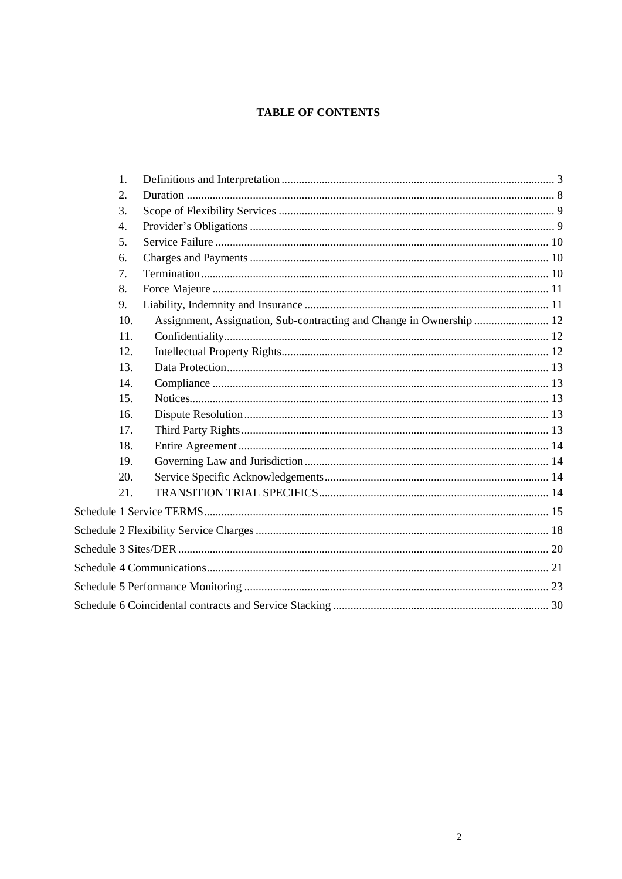# **TABLE OF CONTENTS**

| $\mathbf{1}$ .   |                                                                      |  |
|------------------|----------------------------------------------------------------------|--|
| 2.               |                                                                      |  |
| 3.               |                                                                      |  |
| $\overline{4}$ . |                                                                      |  |
| 5.               |                                                                      |  |
| 6.               |                                                                      |  |
| 7.               |                                                                      |  |
| 8.               |                                                                      |  |
| 9.               |                                                                      |  |
| 10.              | Assignment, Assignation, Sub-contracting and Change in Ownership  12 |  |
| 11.              |                                                                      |  |
| 12.              |                                                                      |  |
| 13.              |                                                                      |  |
| 14.              |                                                                      |  |
| 15.              |                                                                      |  |
| 16.              |                                                                      |  |
| 17.              |                                                                      |  |
| 18.              |                                                                      |  |
| 19.              |                                                                      |  |
| 20.              |                                                                      |  |
| 21.              |                                                                      |  |
|                  |                                                                      |  |
|                  |                                                                      |  |
|                  |                                                                      |  |
|                  |                                                                      |  |
|                  |                                                                      |  |
|                  |                                                                      |  |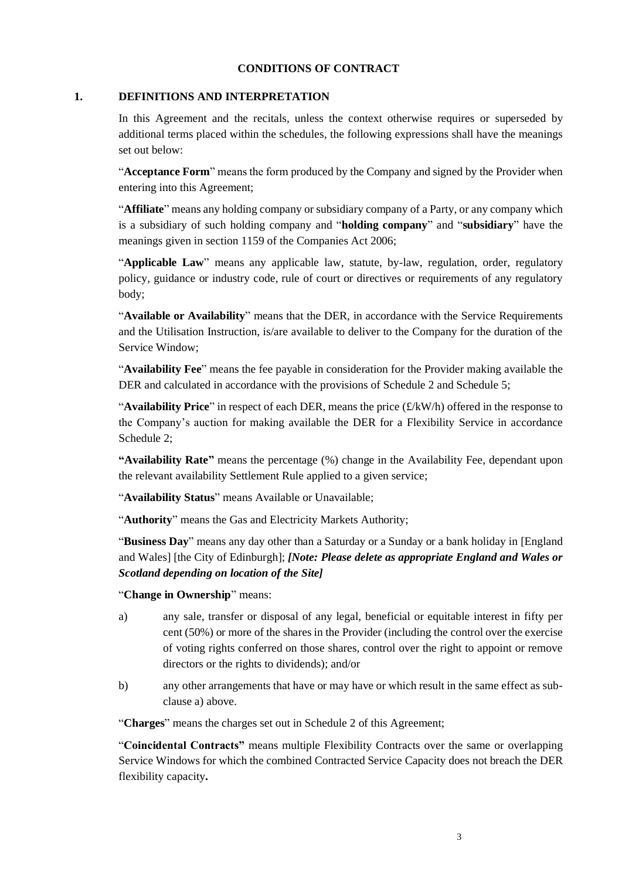#### **CONDITIONS OF CONTRACT**

#### <span id="page-2-0"></span>**1. DEFINITIONS AND INTERPRETATION**

In this Agreement and the recitals, unless the context otherwise requires or superseded by additional terms placed within the schedules, the following expressions shall have the meanings set out below:

"**Acceptance Form**" means the form produced by the Company and signed by the Provider when entering into this Agreement;

"**Affiliate**" means any holding company or subsidiary company of a Party, or any company which is a subsidiary of such holding company and "**holding company**" and "**subsidiary**" have the meanings given in section 1159 of the Companies Act 2006;

"**Applicable Law**" means any applicable law, statute, by-law, regulation, order, regulatory policy, guidance or industry code, rule of court or directives or requirements of any regulatory body;

"**Available or Availability**" means that the DER, in accordance with the Service Requirements and the Utilisation Instruction, is/are available to deliver to the Company for the duration of the Service Window;

"**Availability Fee**" means the fee payable in consideration for the Provider making available the DER and calculated in accordance with the provisions o[f Schedule 2](#page-17-0) and Schedule 5;

"**Availability Price**" in respect of each DER, means the price (£/kW/h) offered in the response to the Company's auction for making available the DER for a Flexibility Service in accordance [Schedule 2;](#page-17-0)

**"Availability Rate"** means the percentage (%) change in the Availability Fee, dependant upon the relevant availability Settlement Rule applied to a given service;

"**Availability Status**" means Available or Unavailable;

"**Authority**" means the Gas and Electricity Markets Authority;

"**Business Day**" means any day other than a Saturday or a Sunday or a bank holiday in [England and Wales] [the City of Edinburgh]; *[Note: Please delete as appropriate England and Wales or Scotland depending on location of the Site]*

"**Change in Ownership**" means:

- <span id="page-2-1"></span>a) any sale, transfer or disposal of any legal, beneficial or equitable interest in fifty per cent (50%) or more of the shares in the Provider (including the control over the exercise of voting rights conferred on those shares, control over the right to appoint or remove directors or the rights to dividends); and/or
- b) any other arrangements that have or may have or which result in the same effect as subclause [a\)](#page-2-1) above.

"**Charges**" means the charges set out i[n Schedule 2](#page-17-0) of this Agreement;

"**Coincidental Contracts"** means multiple Flexibility Contracts over the same or overlapping Service Windows for which the combined Contracted Service Capacity does not breach the DER flexibility capacity**.**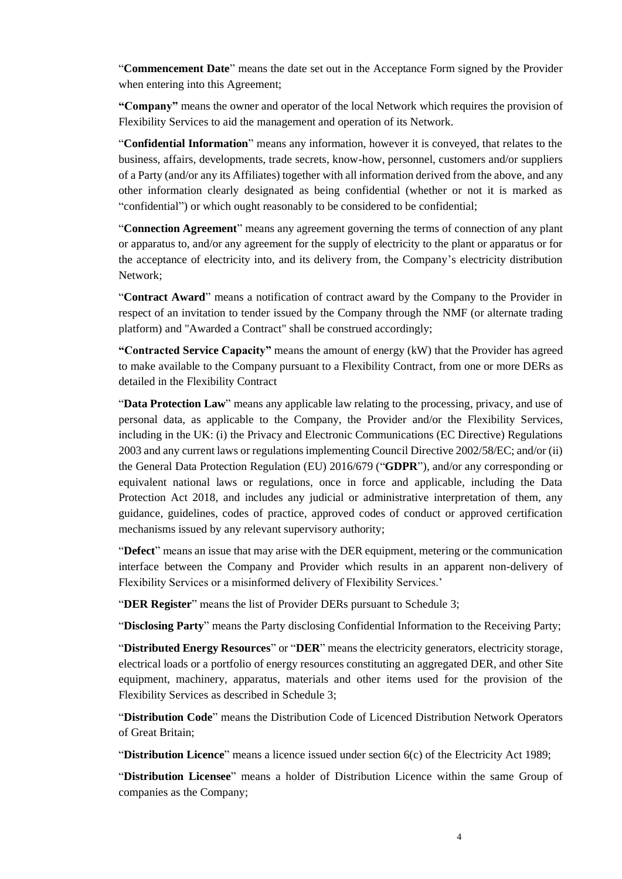"**Commencement Date**" means the date set out in the Acceptance Form signed by the Provider when entering into this Agreement;

**"Company"** means the owner and operator of the local Network which requires the provision of Flexibility Services to aid the management and operation of its Network.

"**Confidential Information**" means any information, however it is conveyed, that relates to the business, affairs, developments, trade secrets, know-how, personnel, customers and/or suppliers of a Party (and/or any its Affiliates) together with all information derived from the above, and any other information clearly designated as being confidential (whether or not it is marked as "confidential") or which ought reasonably to be considered to be confidential;

"**Connection Agreement**" means any agreement governing the terms of connection of any plant or apparatus to, and/or any agreement for the supply of electricity to the plant or apparatus or for the acceptance of electricity into, and its delivery from, the Company's electricity distribution Network;

"**Contract Award**" means a notification of contract award by the Company to the Provider in respect of an invitation to tender issued by the Company through the NMF (or alternate trading platform) and "Awarded a Contract" shall be construed accordingly;

**"Contracted Service Capacity"** means the amount of energy (kW) that the Provider has agreed to make available to the Company pursuant to a Flexibility Contract, from one or more DERs as detailed in the Flexibility Contract

"**Data Protection Law**" means any applicable law relating to the processing, privacy, and use of personal data, as applicable to the Company, the Provider and/or the Flexibility Services, including in the UK: (i) the Privacy and Electronic Communications (EC Directive) Regulations 2003 and any current laws or regulations implementing Council Directive 2002/58/EC; and/or (ii) the General Data Protection Regulation (EU) 2016/679 ("**GDPR**"), and/or any corresponding or equivalent national laws or regulations, once in force and applicable, including the Data Protection Act 2018, and includes any judicial or administrative interpretation of them, any guidance, guidelines, codes of practice, approved codes of conduct or approved certification mechanisms issued by any relevant supervisory authority;

"**Defect**" means an issue that may arise with the DER equipment, metering or the communication interface between the Company and Provider which results in an apparent non-delivery of Flexibility Services or a misinformed delivery of Flexibility Services.'

"**DER Register**" means the list of Provider DERs pursuant to Schedule 3;

"**Disclosing Party**" means the Party disclosing Confidential Information to the Receiving Party;

"**Distributed Energy Resources**" or "**DER**" means the electricity generators, electricity storage, electrical loads or a portfolio of energy resources constituting an aggregated DER, and other Site equipment, machinery, apparatus, materials and other items used for the provision of the Flexibility Services as described in [Schedule 3;](#page-19-0)

"**Distribution Code**" means the Distribution Code of Licenced Distribution Network Operators of Great Britain;

"**Distribution Licence**" means a licence issued under section 6(c) of the Electricity Act 1989;

"**Distribution Licensee**" means a holder of Distribution Licence within the same Group of companies as the Company;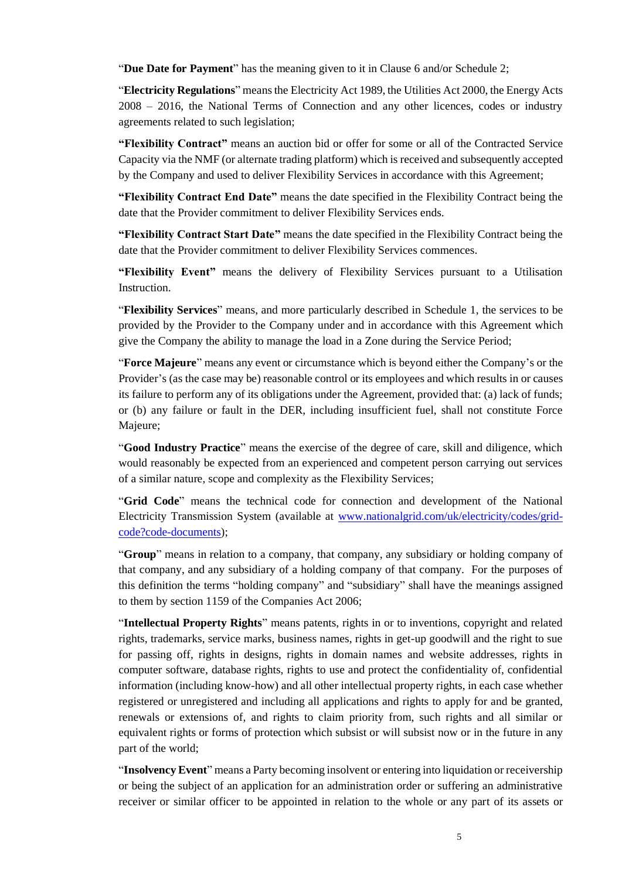"**Due Date for Payment**" has the meaning given to it in Clause [6](#page-9-1) and/or Schedule 2;

"**Electricity Regulations**" means the Electricity Act 1989, the Utilities Act 2000, the Energy Acts 2008 – 2016, the National Terms of Connection and any other licences, codes or industry agreements related to such legislation;

**"Flexibility Contract"** means an auction bid or offer for some or all of the Contracted Service Capacity via the NMF (or alternate trading platform) which is received and subsequently accepted by the Company and used to deliver Flexibility Services in accordance with this Agreement;

**"Flexibility Contract End Date"** means the date specified in the Flexibility Contract being the date that the Provider commitment to deliver Flexibility Services ends.

**"Flexibility Contract Start Date"** means the date specified in the Flexibility Contract being the date that the Provider commitment to deliver Flexibility Services commences.

**"Flexibility Event"** means the delivery of Flexibility Services pursuant to a Utilisation Instruction.

"**Flexibility Services**" means, and more particularly described in [Schedule 1,](#page-14-0) the services to be provided by the Provider to the Company under and in accordance with this Agreement which give the Company the ability to manage the load in a Zone during the Service Period;

"**Force Majeure**" means any event or circumstance which is beyond either the Company's or the Provider's (as the case may be) reasonable control or its employees and which results in or causes its failure to perform any of its obligations under the Agreement, provided that: (a) lack of funds; or (b) any failure or fault in the DER, including insufficient fuel, shall not constitute Force Majeure;

"**Good Industry Practice**" means the exercise of the degree of care, skill and diligence, which would reasonably be expected from an experienced and competent person carrying out services of a similar nature, scope and complexity as the Flexibility Services;

"**Grid Code**" means the technical code for connection and development of the National Electricity Transmission System (available at www.nationalgrid.com/uk/electricity/codes/gridcode?code-documents);

"**Group**" means in relation to a company, that company, any subsidiary or holding company of that company, and any subsidiary of a holding company of that company. For the purposes of this definition the terms "holding company" and "subsidiary" shall have the meanings assigned to them by section 1159 of the Companies Act 2006;

"**Intellectual Property Rights**" means patents, rights in or to inventions, copyright and related rights, trademarks, service marks, business names, rights in get-up goodwill and the right to sue for passing off, rights in designs, rights in domain names and website addresses, rights in computer software, database rights, rights to use and protect the confidentiality of, confidential information (including know-how) and all other intellectual property rights, in each case whether registered or unregistered and including all applications and rights to apply for and be granted, renewals or extensions of, and rights to claim priority from, such rights and all similar or equivalent rights or forms of protection which subsist or will subsist now or in the future in any part of the world;

"**Insolvency Event**" means a Party becoming insolvent or entering into liquidation or receivership or being the subject of an application for an administration order or suffering an administrative receiver or similar officer to be appointed in relation to the whole or any part of its assets or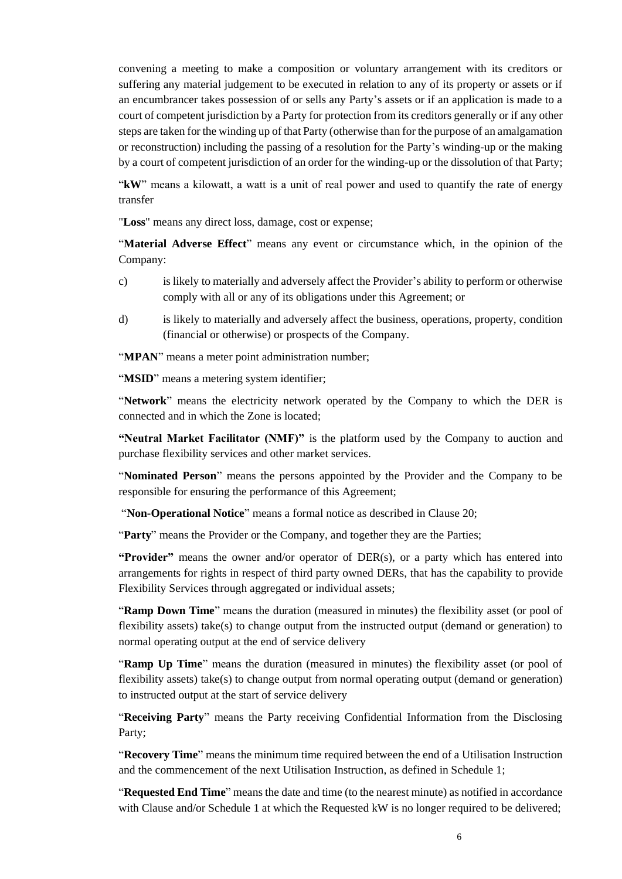convening a meeting to make a composition or voluntary arrangement with its creditors or suffering any material judgement to be executed in relation to any of its property or assets or if an encumbrancer takes possession of or sells any Party's assets or if an application is made to a court of competent jurisdiction by a Party for protection from its creditors generally or if any other steps are taken for the winding up of that Party (otherwise than for the purpose of an amalgamation or reconstruction) including the passing of a resolution for the Party's winding-up or the making by a court of competent jurisdiction of an order for the winding-up or the dissolution of that Party;

"**kW**" means a kilowatt, a watt is a unit of real power and used to quantify the rate of energy transfer

"**Loss**" means any direct loss, damage, cost or expense;

"**Material Adverse Effect**" means any event or circumstance which, in the opinion of the Company:

- c) is likely to materially and adversely affect the Provider's ability to perform or otherwise comply with all or any of its obligations under this Agreement; or
- d) is likely to materially and adversely affect the business, operations, property, condition (financial or otherwise) or prospects of the Company.

"**MPAN**" means a meter point administration number;

"**MSID**" means a metering system identifier;

"**Network**" means the electricity network operated by the Company to which the DER is connected and in which the Zone is located;

**"Neutral Market Facilitator (NMF)"** is the platform used by the Company to auction and purchase flexibility services and other market services.

"**Nominated Person**" means the persons appointed by the Provider and the Company to be responsible for ensuring the performance of this Agreement;

"**Non-Operational Notice**" means a formal notice as described in Clause 20;

"**Party**" means the Provider or the Company, and together they are the Parties;

**"Provider"** means the owner and/or operator of DER(s), or a party which has entered into arrangements for rights in respect of third party owned DERs, that has the capability to provide Flexibility Services through aggregated or individual assets;

"**Ramp Down Time**" means the duration (measured in minutes) the flexibility asset (or pool of flexibility assets) take(s) to change output from the instructed output (demand or generation) to normal operating output at the end of service delivery

"**Ramp Up Time**" means the duration (measured in minutes) the flexibility asset (or pool of flexibility assets) take(s) to change output from normal operating output (demand or generation) to instructed output at the start of service delivery

"**Receiving Party**" means the Party receiving Confidential Information from the Disclosing Party;

"**Recovery Time**" means the minimum time required between the end of a Utilisation Instruction and the commencement of the next Utilisation Instruction, as defined in [Schedule 1;](#page-14-0)

"**Requested End Time**" means the date and time (to the nearest minute) as notified in accordance with Clause and/or [Schedule 1](#page-14-0) at which the Requested kW is no longer required to be delivered;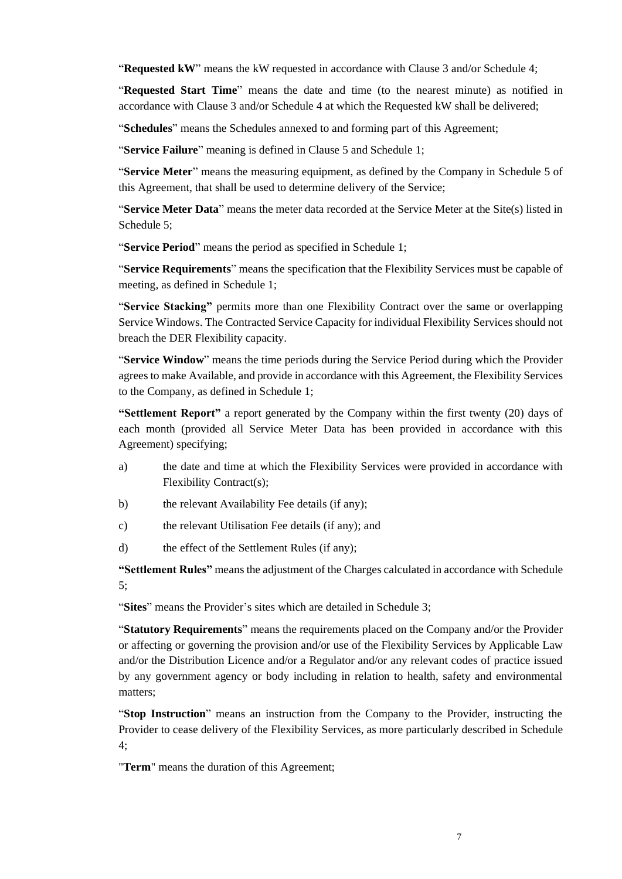"**Requested kW**" means the kW requested in accordance with Clause [3](#page-8-0) and/or Schedule 4;

"**Requested Start Time**" means the date and time (to the nearest minute) as notified in accordance with Clause [3](#page-8-0) and/or Schedule 4 at which the Requested kW shall be delivered;

"**Schedules**" means the Schedules annexed to and forming part of this Agreement;

"**Service Failure**" meaning is defined in Clause 5 and [Schedule 1;](#page-14-0)

"**Service Meter**" means the measuring equipment, as defined by the Company in Schedule [5](#page-22-0) of this Agreement, that shall be used to determine delivery of the Service;

"**Service Meter Data**" means the meter data recorded at the Service Meter at the Site(s) listed in Schedule [5;](#page-22-0)

"**Service Period**" means the period as specified i[n Schedule 1;](#page-14-0)

"**Service Requirements**" means the specification that the Flexibility Services must be capable of meeting, as defined in Schedule [1;](#page-14-0)

"**Service Stacking"** permits more than one Flexibility Contract over the same or overlapping Service Windows. The Contracted Service Capacity for individual Flexibility Services should not breach the DER Flexibility capacity.

"**Service Window**" means the time periods during the Service Period during which the Provider agrees to make Available, and provide in accordance with this Agreement, the Flexibility Services to the Company, as defined in [Schedule 1;](#page-14-0)

**"Settlement Report"** a report generated by the Company within the first twenty (20) days of each month (provided all Service Meter Data has been provided in accordance with this Agreement) specifying;

- a) the date and time at which the Flexibility Services were provided in accordance with Flexibility Contract(s);
- b) the relevant Availability Fee details (if any);
- c) the relevant Utilisation Fee details (if any); and
- d) the effect of the Settlement Rules (if any);

**"Settlement Rules"** means the adjustment of the Charges calculated in accordance with Schedule 5;

"**Sites**" means the Provider's sites which are detailed i[n Schedule 3;](#page-19-0)

"**Statutory Requirements**" means the requirements placed on the Company and/or the Provider or affecting or governing the provision and/or use of the Flexibility Services by Applicable Law and/or the Distribution Licence and/or a Regulator and/or any relevant codes of practice issued by any government agency or body including in relation to health, safety and environmental matters;

"**Stop Instruction**" means an instruction from the Company to the Provider, instructing the Provider to cease delivery of the Flexibility Services, as more particularly described in Schedule 4;

"**Term**" means the duration of this Agreement;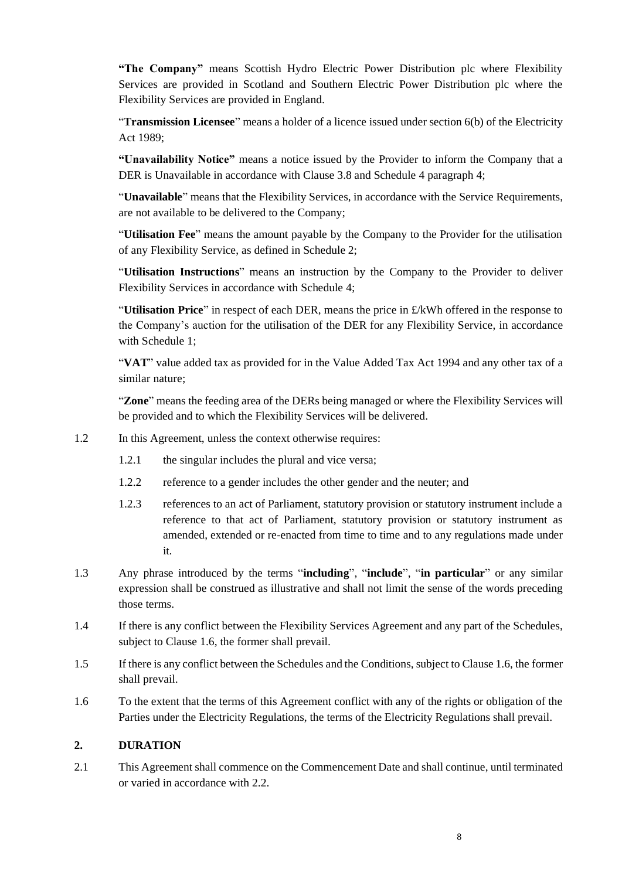**"The Company"** means Scottish Hydro Electric Power Distribution plc where Flexibility Services are provided in Scotland and Southern Electric Power Distribution plc where the Flexibility Services are provided in England.

"**Transmission Licensee**" means a holder of a licence issued under section 6(b) of the Electricity Act 1989;

**"Unavailability Notice"** means a notice issued by the Provider to inform the Company that a DER is Unavailable in accordance with Clause 3.8 and Schedule 4 paragraph 4;

"**Unavailable**" means that the Flexibility Services, in accordance with the Service Requirements, are not available to be delivered to the Company;

"**Utilisation Fee**" means the amount payable by the Company to the Provider for the utilisation of any Flexibility Service, as defined in Schedule [2;](#page-17-0)

"**Utilisation Instructions**" means an instruction by the Company to the Provider to deliver Flexibility Services in accordance with Schedule 4;

"**Utilisation Price**" in respect of each DER, means the price in £/kWh offered in the response to the Company's auction for the utilisation of the DER for any Flexibility Service, in accordance with Schedule 1;

"**VAT**" value added tax as provided for in the Value Added Tax Act 1994 and any other tax of a similar nature;

"**Zone**" means the feeding area of the DERs being managed or where the Flexibility Services will be provided and to which the Flexibility Services will be delivered.

- 1.2 In this Agreement, unless the context otherwise requires:
	- 1.2.1 the singular includes the plural and vice versa;
	- 1.2.2 reference to a gender includes the other gender and the neuter; and
	- 1.2.3 references to an act of Parliament, statutory provision or statutory instrument include a reference to that act of Parliament, statutory provision or statutory instrument as amended, extended or re-enacted from time to time and to any regulations made under it.
- 1.3 Any phrase introduced by the terms "**including**", "**include**", "**in particular**" or any similar expression shall be construed as illustrative and shall not limit the sense of the words preceding those terms.
- 1.4 If there is any conflict between the Flexibility Services Agreement and any part of the Schedules, subject to Clause [1.6,](#page-7-1) the former shall prevail.
- 1.5 If there is any conflict between the Schedules and the Conditions, subject to Claus[e 1.6,](#page-7-1) the former shall prevail.
- <span id="page-7-1"></span>1.6 To the extent that the terms of this Agreement conflict with any of the rights or obligation of the Parties under the Electricity Regulations, the terms of the Electricity Regulations shall prevail.

### <span id="page-7-0"></span>**2. DURATION**

2.1 This Agreement shall commence on the Commencement Date and shall continue, until terminated or varied in accordance with 2.2.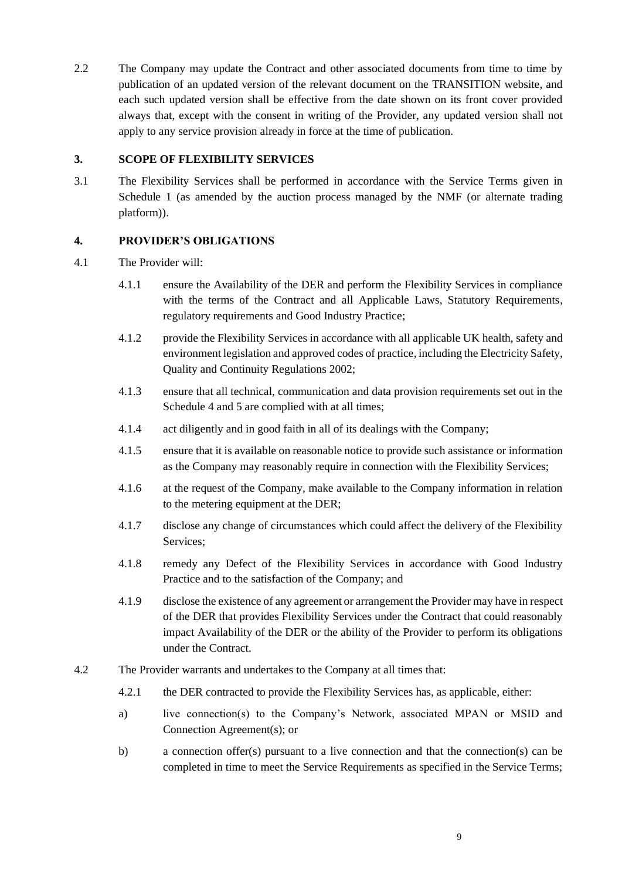2.2 The Company may update the Contract and other associated documents from time to time by publication of an updated version of the relevant document on the TRANSITION website, and each such updated version shall be effective from the date shown on its front cover provided always that, except with the consent in writing of the Provider, any updated version shall not apply to any service provision already in force at the time of publication.

### <span id="page-8-0"></span>**3. SCOPE OF FLEXIBILITY SERVICES**

3.1 The Flexibility Services shall be performed in accordance with the Service Terms given in Schedule 1 (as amended by the auction process managed by the NMF (or alternate trading platform)).

# <span id="page-8-1"></span>**4. PROVIDER'S OBLIGATIONS**

- 4.1 The Provider will:
	- 4.1.1 ensure the Availability of the DER and perform the Flexibility Services in compliance with the terms of the Contract and all Applicable Laws, Statutory Requirements, regulatory requirements and Good Industry Practice;
	- 4.1.2 provide the Flexibility Services in accordance with all applicable UK health, safety and environment legislation and approved codes of practice, including the Electricity Safety, Quality and Continuity Regulations 2002;
	- 4.1.3 ensure that all technical, communication and data provision requirements set out in the Schedule 4 and 5 are complied with at all times;
	- 4.1.4 act diligently and in good faith in all of its dealings with the Company;
	- 4.1.5 ensure that it is available on reasonable notice to provide such assistance or information as the Company may reasonably require in connection with the Flexibility Services;
	- 4.1.6 at the request of the Company, make available to the Company information in relation to the metering equipment at the DER;
	- 4.1.7 disclose any change of circumstances which could affect the delivery of the Flexibility Services;
	- 4.1.8 remedy any Defect of the Flexibility Services in accordance with Good Industry Practice and to the satisfaction of the Company; and
	- 4.1.9 disclose the existence of any agreement or arrangement the Provider may have in respect of the DER that provides Flexibility Services under the Contract that could reasonably impact Availability of the DER or the ability of the Provider to perform its obligations under the Contract.
- 4.2 The Provider warrants and undertakes to the Company at all times that:
	- 4.2.1 the DER contracted to provide the Flexibility Services has, as applicable, either:
	- a) live connection(s) to the Company's Network, associated MPAN or MSID and Connection Agreement(s); or
	- b) a connection offer(s) pursuant to a live connection and that the connection(s) can be completed in time to meet the Service Requirements as specified in the Service Terms;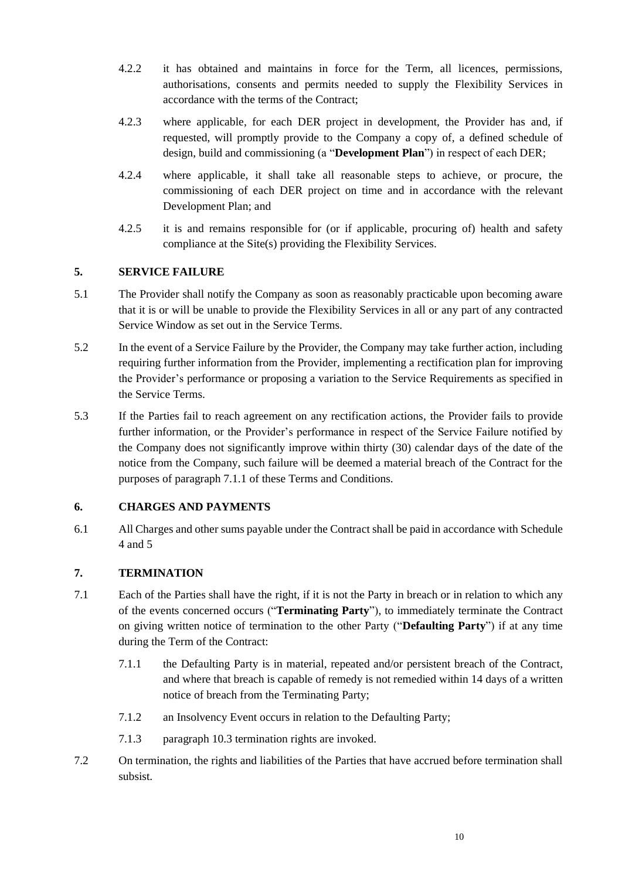- 4.2.2 it has obtained and maintains in force for the Term, all licences, permissions, authorisations, consents and permits needed to supply the Flexibility Services in accordance with the terms of the Contract;
- 4.2.3 where applicable, for each DER project in development, the Provider has and, if requested, will promptly provide to the Company a copy of, a defined schedule of design, build and commissioning (a "**Development Plan**") in respect of each DER;
- 4.2.4 where applicable, it shall take all reasonable steps to achieve, or procure, the commissioning of each DER project on time and in accordance with the relevant Development Plan; and
- 4.2.5 it is and remains responsible for (or if applicable, procuring of) health and safety compliance at the Site(s) providing the Flexibility Services.

# <span id="page-9-0"></span>**5. SERVICE FAILURE**

- 5.1 The Provider shall notify the Company as soon as reasonably practicable upon becoming aware that it is or will be unable to provide the Flexibility Services in all or any part of any contracted Service Window as set out in the Service Terms.
- 5.2 In the event of a Service Failure by the Provider, the Company may take further action, including requiring further information from the Provider, implementing a rectification plan for improving the Provider's performance or proposing a variation to the Service Requirements as specified in the Service Terms.
- 5.3 If the Parties fail to reach agreement on any rectification actions, the Provider fails to provide further information, or the Provider's performance in respect of the Service Failure notified by the Company does not significantly improve within thirty (30) calendar days of the date of the notice from the Company, such failure will be deemed a material breach of the Contract for the purposes of paragraph [7.1.1](#page-9-3) of these Terms and Conditions.

### <span id="page-9-1"></span>**6. CHARGES AND PAYMENTS**

6.1 All Charges and other sums payable under the Contract shall be paid in accordance with Schedule 4 and 5

### <span id="page-9-2"></span>**7. TERMINATION**

- <span id="page-9-3"></span>7.1 Each of the Parties shall have the right, if it is not the Party in breach or in relation to which any of the events concerned occurs ("**Terminating Party**"), to immediately terminate the Contract on giving written notice of termination to the other Party ("**Defaulting Party**") if at any time during the Term of the Contract:
	- 7.1.1 the Defaulting Party is in material, repeated and/or persistent breach of the Contract, and where that breach is capable of remedy is not remedied within 14 days of a written notice of breach from the Terminating Party;
	- 7.1.2 an Insolvency Event occurs in relation to the Defaulting Party;
	- 7.1.3 paragraph 10.3 termination rights are invoked.
- <span id="page-9-4"></span>7.2 On termination, the rights and liabilities of the Parties that have accrued before termination shall subsist.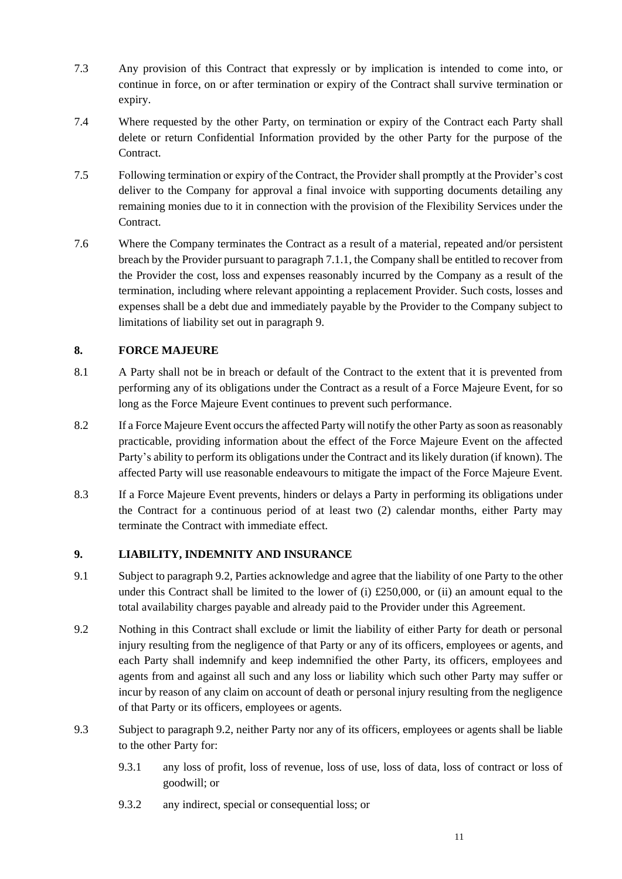- 7.3 Any provision of this Contract that expressly or by implication is intended to come into, or continue in force, on or after termination or expiry of the Contract shall survive termination or expiry.
- 7.4 Where requested by the other Party, on termination or expiry of the Contract each Party shall delete or return Confidential Information provided by the other Party for the purpose of the Contract.
- 7.5 Following termination or expiry of the Contract, the Provider shall promptly at the Provider's cost deliver to the Company for approval a final invoice with supporting documents detailing any remaining monies due to it in connection with the provision of the Flexibility Services under the Contract.
- 7.6 Where the Company terminates the Contract as a result of a material, repeated and/or persistent breach by the Provider pursuant to paragraph [7.1.1,](#page-9-3) the Company shall be entitled to recover from the Provider the cost, loss and expenses reasonably incurred by the Company as a result of the termination, including where relevant appointing a replacement Provider. Such costs, losses and expenses shall be a debt due and immediately payable by the Provider to the Company subject to limitations of liability set out in paragraph 9.

# <span id="page-10-0"></span>**8. FORCE MAJEURE**

- 8.1 A Party shall not be in breach or default of the Contract to the extent that it is prevented from performing any of its obligations under the Contract as a result of a Force Majeure Event, for so long as the Force Majeure Event continues to prevent such performance.
- 8.2 If a Force Majeure Event occurs the affected Party will notify the other Party as soon as reasonably practicable, providing information about the effect of the Force Majeure Event on the affected Party's ability to perform its obligations under the Contract and its likely duration (if known). The affected Party will use reasonable endeavours to mitigate the impact of the Force Majeure Event.
- 8.3 If a Force Majeure Event prevents, hinders or delays a Party in performing its obligations under the Contract for a continuous period of at least two (2) calendar months, either Party may terminate the Contract with immediate effect.

# <span id="page-10-1"></span>**9. LIABILITY, INDEMNITY AND INSURANCE**

- 9.1 Subject to paragrap[h 9.2,](#page-10-2) Parties acknowledge and agree that the liability of one Party to the other under this Contract shall be limited to the lower of (i)  $\pounds250,000$ , or (ii) an amount equal to the total availability charges payable and already paid to the Provider under this Agreement.
- <span id="page-10-2"></span>9.2 Nothing in this Contract shall exclude or limit the liability of either Party for death or personal injury resulting from the negligence of that Party or any of its officers, employees or agents, and each Party shall indemnify and keep indemnified the other Party, its officers, employees and agents from and against all such and any loss or liability which such other Party may suffer or incur by reason of any claim on account of death or personal injury resulting from the negligence of that Party or its officers, employees or agents.
- 9.3 Subject to paragraph [9.2,](#page-10-2) neither Party nor any of its officers, employees or agents shall be liable to the other Party for:
	- 9.3.1 any loss of profit, loss of revenue, loss of use, loss of data, loss of contract or loss of goodwill; or
	- 9.3.2 any indirect, special or consequential loss; or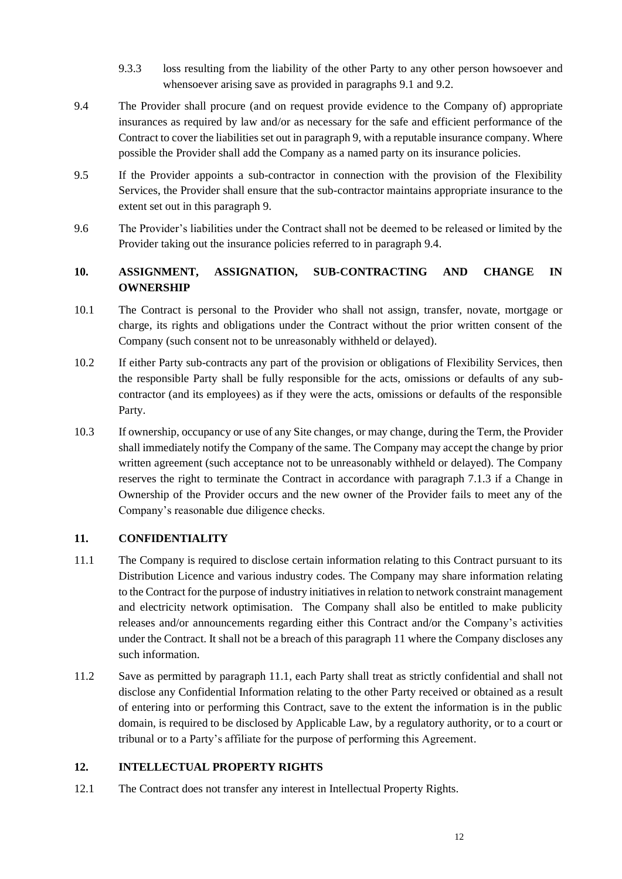- 9.3.3 loss resulting from the liability of the other Party to any other person howsoever and whensoever arising save as provided in paragraphs 9.1 and [9.2.](#page-10-2)
- <span id="page-11-3"></span>9.4 The Provider shall procure (and on request provide evidence to the Company of) appropriate insurances as required by law and/or as necessary for the safe and efficient performance of the Contract to cover the liabilities set out in paragraph 9, with a reputable insurance company. Where possible the Provider shall add the Company as a named party on its insurance policies.
- 9.5 If the Provider appoints a sub-contractor in connection with the provision of the Flexibility Services, the Provider shall ensure that the sub-contractor maintains appropriate insurance to the extent set out in this paragraph 9.
- 9.6 The Provider's liabilities under the Contract shall not be deemed to be released or limited by the Provider taking out the insurance policies referred to in paragraph [9.4.](#page-11-3)

# <span id="page-11-0"></span>**10. ASSIGNMENT, ASSIGNATION, SUB-CONTRACTING AND CHANGE IN OWNERSHIP**

- 10.1 The Contract is personal to the Provider who shall not assign, transfer, novate, mortgage or charge, its rights and obligations under the Contract without the prior written consent of the Company (such consent not to be unreasonably withheld or delayed).
- 10.2 If either Party sub-contracts any part of the provision or obligations of Flexibility Services, then the responsible Party shall be fully responsible for the acts, omissions or defaults of any subcontractor (and its employees) as if they were the acts, omissions or defaults of the responsible Party.
- 10.3 If ownership, occupancy or use of any Site changes, or may change, during the Term, the Provider shall immediately notify the Company of the same. The Company may accept the change by prior written agreement (such acceptance not to be unreasonably withheld or delayed). The Company reserves the right to terminate the Contract in accordance with paragraph [7.1.3](#page-9-4) if a Change in Ownership of the Provider occurs and the new owner of the Provider fails to meet any of the Company's reasonable due diligence checks.

# <span id="page-11-1"></span>**11. CONFIDENTIALITY**

- <span id="page-11-4"></span>11.1 The Company is required to disclose certain information relating to this Contract pursuant to its Distribution Licence and various industry codes. The Company may share information relating to the Contract for the purpose of industry initiatives in relation to network constraint management and electricity network optimisation. The Company shall also be entitled to make publicity releases and/or announcements regarding either this Contract and/or the Company's activities under the Contract. It shall not be a breach of this paragraph [11](#page-11-1) where the Company discloses any such information.
- 11.2 Save as permitted by paragraph [11.1,](#page-11-4) each Party shall treat as strictly confidential and shall not disclose any Confidential Information relating to the other Party received or obtained as a result of entering into or performing this Contract, save to the extent the information is in the public domain, is required to be disclosed by Applicable Law, by a regulatory authority, or to a court or tribunal or to a Party's affiliate for the purpose of performing this Agreement.

### <span id="page-11-2"></span>**12. INTELLECTUAL PROPERTY RIGHTS**

12.1 The Contract does not transfer any interest in Intellectual Property Rights.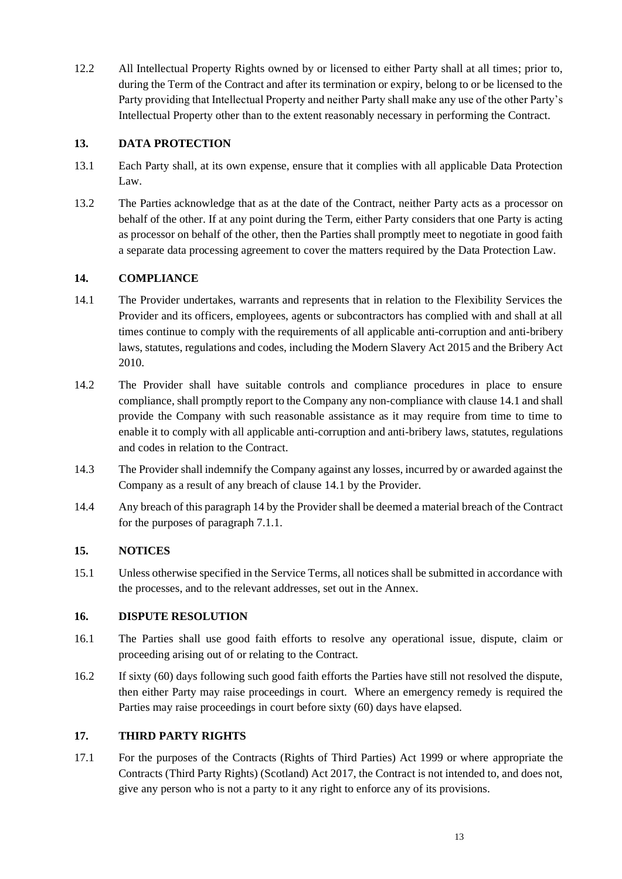12.2 All Intellectual Property Rights owned by or licensed to either Party shall at all times; prior to, during the Term of the Contract and after its termination or expiry, belong to or be licensed to the Party providing that Intellectual Property and neither Party shall make any use of the other Party's Intellectual Property other than to the extent reasonably necessary in performing the Contract.

### <span id="page-12-0"></span>**13. DATA PROTECTION**

- 13.1 Each Party shall, at its own expense, ensure that it complies with all applicable Data Protection Law.
- 13.2 The Parties acknowledge that as at the date of the Contract, neither Party acts as a processor on behalf of the other. If at any point during the Term, either Party considers that one Party is acting as processor on behalf of the other, then the Parties shall promptly meet to negotiate in good faith a separate data processing agreement to cover the matters required by the Data Protection Law.

# <span id="page-12-1"></span>**14. COMPLIANCE**

- 14.1 The Provider undertakes, warrants and represents that in relation to the Flexibility Services the Provider and its officers, employees, agents or subcontractors has complied with and shall at all times continue to comply with the requirements of all applicable anti-corruption and anti-bribery laws, statutes, regulations and codes, including the Modern Slavery Act 2015 and the Bribery Act 2010.
- 14.2 The Provider shall have suitable controls and compliance procedures in place to ensure compliance, shall promptly report to the Company any non-compliance with clause 14.1 and shall provide the Company with such reasonable assistance as it may require from time to time to enable it to comply with all applicable anti-corruption and anti-bribery laws, statutes, regulations and codes in relation to the Contract.
- 14.3 The Provider shall indemnify the Company against any losses, incurred by or awarded against the Company as a result of any breach of clause 14.1 by the Provider.
- 14.4 Any breach of this paragraph [14](#page-12-1) by the Provider shall be deemed a material breach of the Contract for the purposes of paragrap[h 7.1.1.](#page-9-3)

# <span id="page-12-2"></span>**15. NOTICES**

15.1 Unless otherwise specified in the Service Terms, all notices shall be submitted in accordance with the processes, and to the relevant addresses, set out in the Annex.

### <span id="page-12-3"></span>**16. DISPUTE RESOLUTION**

- 16.1 The Parties shall use good faith efforts to resolve any operational issue, dispute, claim or proceeding arising out of or relating to the Contract.
- 16.2 If sixty (60) days following such good faith efforts the Parties have still not resolved the dispute, then either Party may raise proceedings in court. Where an emergency remedy is required the Parties may raise proceedings in court before sixty (60) days have elapsed.

# <span id="page-12-4"></span>**17. THIRD PARTY RIGHTS**

17.1 For the purposes of the Contracts (Rights of Third Parties) Act 1999 or where appropriate the Contracts (Third Party Rights) (Scotland) Act 2017, the Contract is not intended to, and does not, give any person who is not a party to it any right to enforce any of its provisions.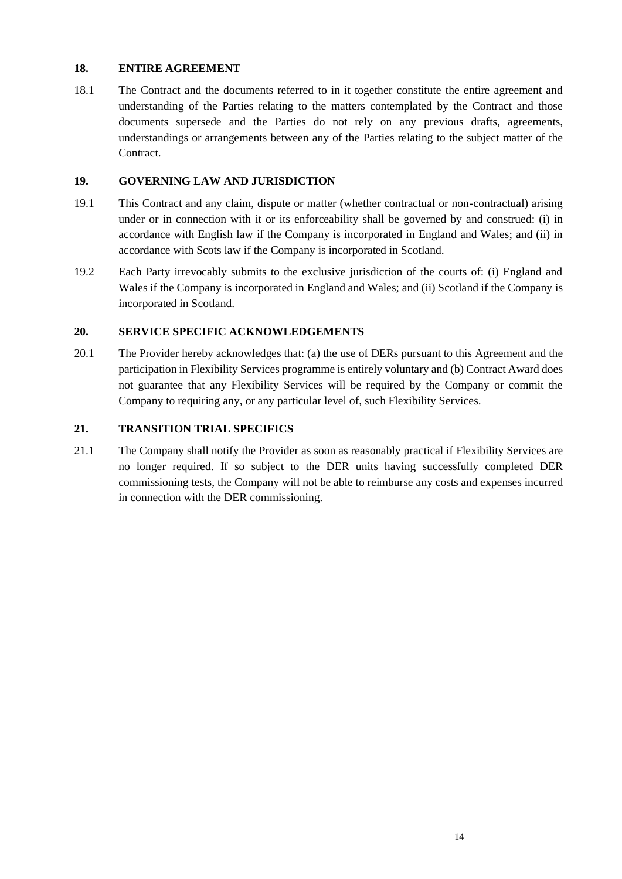### <span id="page-13-0"></span>**18. ENTIRE AGREEMENT**

18.1 The Contract and the documents referred to in it together constitute the entire agreement and understanding of the Parties relating to the matters contemplated by the Contract and those documents supersede and the Parties do not rely on any previous drafts, agreements, understandings or arrangements between any of the Parties relating to the subject matter of the Contract.

#### <span id="page-13-1"></span>**19. GOVERNING LAW AND JURISDICTION**

- 19.1 This Contract and any claim, dispute or matter (whether contractual or non-contractual) arising under or in connection with it or its enforceability shall be governed by and construed: (i) in accordance with English law if the Company is incorporated in England and Wales; and (ii) in accordance with Scots law if the Company is incorporated in Scotland.
- 19.2 Each Party irrevocably submits to the exclusive jurisdiction of the courts of: (i) England and Wales if the Company is incorporated in England and Wales; and (ii) Scotland if the Company is incorporated in Scotland.

#### <span id="page-13-2"></span>**20. SERVICE SPECIFIC ACKNOWLEDGEMENTS**

20.1 The Provider hereby acknowledges that: (a) the use of DERs pursuant to this Agreement and the participation in Flexibility Services programme is entirely voluntary and (b) Contract Award does not guarantee that any Flexibility Services will be required by the Company or commit the Company to requiring any, or any particular level of, such Flexibility Services.

### <span id="page-13-3"></span>**21. TRANSITION TRIAL SPECIFICS**

21.1 The Company shall notify the Provider as soon as reasonably practical if Flexibility Services are no longer required. If so subject to the DER units having successfully completed DER commissioning tests, the Company will not be able to reimburse any costs and expenses incurred in connection with the DER commissioning.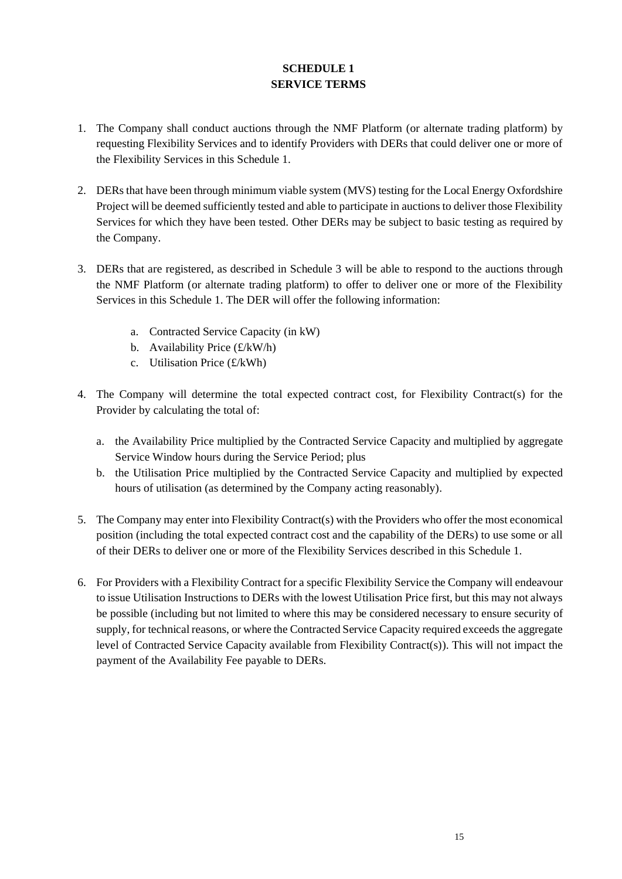# **SCHEDULE 1 SERVICE TERMS**

- <span id="page-14-0"></span>1. The Company shall conduct auctions through the NMF Platform (or alternate trading platform) by requesting Flexibility Services and to identify Providers with DERs that could deliver one or more of the Flexibility Services in this Schedule 1.
- 2. DERs that have been through minimum viable system (MVS) testing for the Local Energy Oxfordshire Project will be deemed sufficiently tested and able to participate in auctions to deliver those Flexibility Services for which they have been tested. Other DERs may be subject to basic testing as required by the Company.
- 3. DERs that are registered, as described in Schedule 3 will be able to respond to the auctions through the NMF Platform (or alternate trading platform) to offer to deliver one or more of the Flexibility Services in this Schedule 1. The DER will offer the following information:
	- a. Contracted Service Capacity (in kW)
	- b. Availability Price (£/kW/h)
	- c. Utilisation Price (£/kWh)
- 4. The Company will determine the total expected contract cost, for Flexibility Contract(s) for the Provider by calculating the total of:
	- a. the Availability Price multiplied by the Contracted Service Capacity and multiplied by aggregate Service Window hours during the Service Period; plus
	- b. the Utilisation Price multiplied by the Contracted Service Capacity and multiplied by expected hours of utilisation (as determined by the Company acting reasonably).
- 5. The Company may enter into Flexibility Contract(s) with the Providers who offer the most economical position (including the total expected contract cost and the capability of the DERs) to use some or all of their DERs to deliver one or more of the Flexibility Services described in this Schedule 1.
- 6. For Providers with a Flexibility Contract for a specific Flexibility Service the Company will endeavour to issue Utilisation Instructions to DERs with the lowest Utilisation Price first, but this may not always be possible (including but not limited to where this may be considered necessary to ensure security of supply, for technical reasons, or where the Contracted Service Capacity required exceeds the aggregate level of Contracted Service Capacity available from Flexibility Contract(s)). This will not impact the payment of the Availability Fee payable to DERs.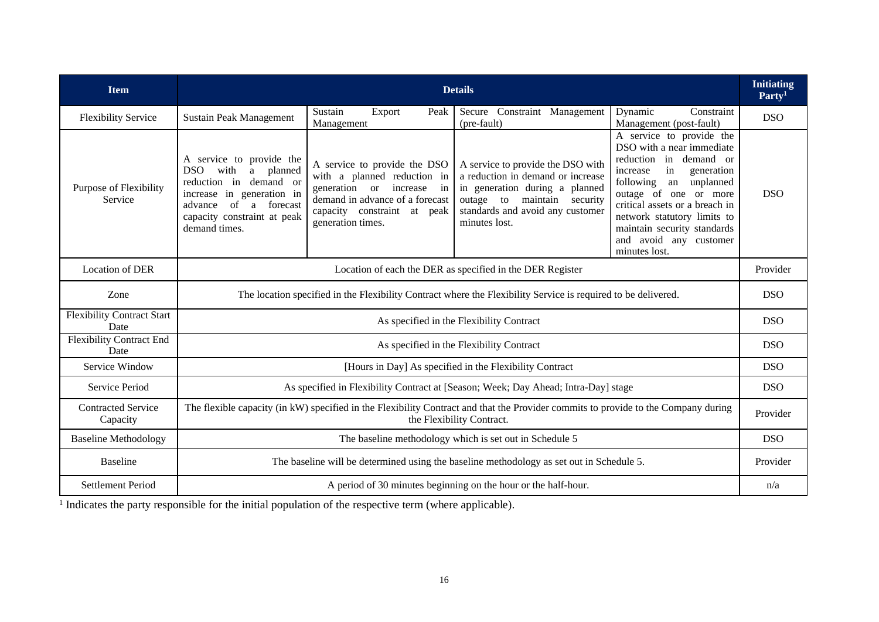| <b>Item</b>                               | <b>Details</b>                                                                                                                                                                                         |                                                                                                                                                                                 |                                                                                                                                                                                                 |                                                                                                                                                                                                                                                                                                                        | <b>Initiating</b><br>Party <sup>1</sup> |
|-------------------------------------------|--------------------------------------------------------------------------------------------------------------------------------------------------------------------------------------------------------|---------------------------------------------------------------------------------------------------------------------------------------------------------------------------------|-------------------------------------------------------------------------------------------------------------------------------------------------------------------------------------------------|------------------------------------------------------------------------------------------------------------------------------------------------------------------------------------------------------------------------------------------------------------------------------------------------------------------------|-----------------------------------------|
| <b>Flexibility Service</b>                | <b>Sustain Peak Management</b>                                                                                                                                                                         | Sustain<br>Export<br>Peak<br>Management                                                                                                                                         | Secure Constraint Management<br>(pre-fault)                                                                                                                                                     | Dynamic<br>Constraint<br>Management (post-fault)                                                                                                                                                                                                                                                                       | <b>DSO</b>                              |
| Purpose of Flexibility<br>Service         | A service to provide the<br>DSO.<br>planned<br>with<br>a -<br>in demand or<br>reduction<br>in generation in<br>increase<br>of<br>a forecast<br>advance<br>capacity constraint at peak<br>demand times. | A service to provide the DSO<br>with a planned reduction in<br>generation or increase in<br>demand in advance of a forecast<br>capacity constraint at peak<br>generation times. | A service to provide the DSO with<br>a reduction in demand or increase<br>in generation during a planned<br>outage to<br>maintain security<br>standards and avoid any customer<br>minutes lost. | A service to provide the<br>DSO with a near immediate<br>reduction<br>in demand or<br>in<br>increase<br>generation<br>unplanned<br>following<br>an<br>outage of one or more<br>critical assets or a breach in<br>network statutory limits to<br>maintain security standards<br>and avoid any customer<br>minutes lost. | <b>DSO</b>                              |
| <b>Location of DER</b>                    | Location of each the DER as specified in the DER Register                                                                                                                                              |                                                                                                                                                                                 |                                                                                                                                                                                                 | Provider                                                                                                                                                                                                                                                                                                               |                                         |
| Zone                                      | The location specified in the Flexibility Contract where the Flexibility Service is required to be delivered.                                                                                          |                                                                                                                                                                                 |                                                                                                                                                                                                 | <b>DSO</b>                                                                                                                                                                                                                                                                                                             |                                         |
| <b>Flexibility Contract Start</b><br>Date | As specified in the Flexibility Contract                                                                                                                                                               |                                                                                                                                                                                 |                                                                                                                                                                                                 | <b>DSO</b>                                                                                                                                                                                                                                                                                                             |                                         |
| <b>Flexibility Contract End</b><br>Date   | As specified in the Flexibility Contract                                                                                                                                                               |                                                                                                                                                                                 |                                                                                                                                                                                                 | <b>DSO</b>                                                                                                                                                                                                                                                                                                             |                                         |
| Service Window                            | [Hours in Day] As specified in the Flexibility Contract                                                                                                                                                |                                                                                                                                                                                 |                                                                                                                                                                                                 |                                                                                                                                                                                                                                                                                                                        | <b>DSO</b>                              |
| Service Period                            | As specified in Flexibility Contract at [Season; Week; Day Ahead; Intra-Day] stage                                                                                                                     |                                                                                                                                                                                 |                                                                                                                                                                                                 |                                                                                                                                                                                                                                                                                                                        | <b>DSO</b>                              |
| <b>Contracted Service</b><br>Capacity     | The flexible capacity (in kW) specified in the Flexibility Contract and that the Provider commits to provide to the Company during<br>the Flexibility Contract.                                        |                                                                                                                                                                                 |                                                                                                                                                                                                 | Provider                                                                                                                                                                                                                                                                                                               |                                         |
| <b>Baseline Methodology</b>               | The baseline methodology which is set out in Schedule 5                                                                                                                                                |                                                                                                                                                                                 |                                                                                                                                                                                                 |                                                                                                                                                                                                                                                                                                                        | <b>DSO</b>                              |
| <b>Baseline</b>                           | The baseline will be determined using the baseline methodology as set out in Schedule 5.                                                                                                               |                                                                                                                                                                                 |                                                                                                                                                                                                 | Provider                                                                                                                                                                                                                                                                                                               |                                         |
| <b>Settlement Period</b>                  | A period of 30 minutes beginning on the hour or the half-hour.                                                                                                                                         |                                                                                                                                                                                 |                                                                                                                                                                                                 | n/a                                                                                                                                                                                                                                                                                                                    |                                         |

<sup>1</sup> Indicates the party responsible for the initial population of the respective term (where applicable).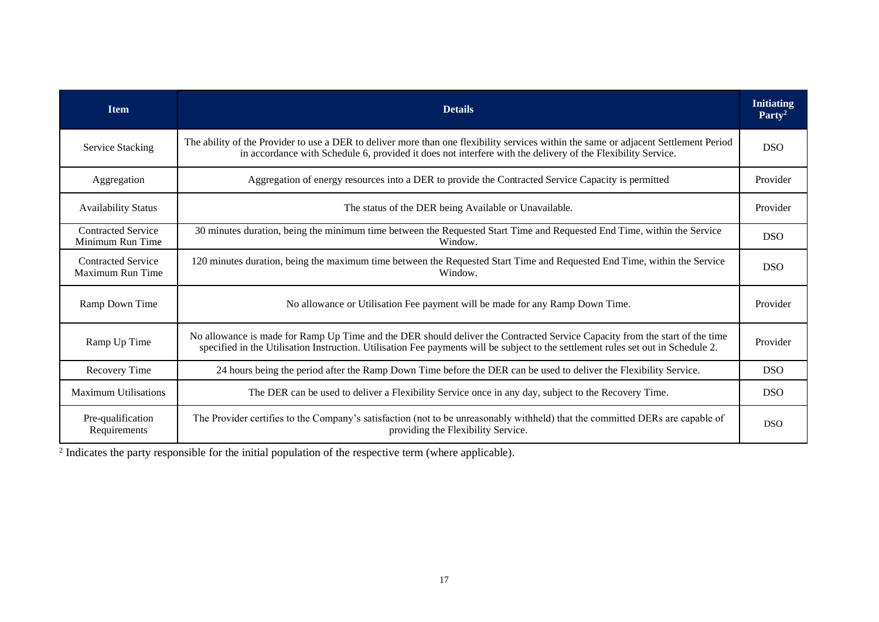| <b>Item</b>                                   | <b>Details</b>                                                                                                                                                                                                                                                   | <b>Initiating</b><br>Party <sup>2</sup> |
|-----------------------------------------------|------------------------------------------------------------------------------------------------------------------------------------------------------------------------------------------------------------------------------------------------------------------|-----------------------------------------|
| <b>Service Stacking</b>                       | The ability of the Provider to use a DER to deliver more than one flexibility services within the same or adjacent Settlement Period<br>in accordance with Schedule 6, provided it does not interfere with the delivery of the Flexibility Service.              | <b>DSO</b>                              |
| Aggregation                                   | Aggregation of energy resources into a DER to provide the Contracted Service Capacity is permitted                                                                                                                                                               | Provider                                |
| <b>Availability Status</b>                    | The status of the DER being Available or Unavailable.                                                                                                                                                                                                            | Provider                                |
| <b>Contracted Service</b><br>Minimum Run Time | 30 minutes duration, being the minimum time between the Requested Start Time and Requested End Time, within the Service<br>Window.                                                                                                                               | <b>DSO</b>                              |
| <b>Contracted Service</b><br>Maximum Run Time | 120 minutes duration, being the maximum time between the Requested Start Time and Requested End Time, within the Service<br>Window.                                                                                                                              | <b>DSO</b>                              |
| Ramp Down Time                                | No allowance or Utilisation Fee payment will be made for any Ramp Down Time.                                                                                                                                                                                     | Provider                                |
| Ramp Up Time                                  | No allowance is made for Ramp Up Time and the DER should deliver the Contracted Service Capacity from the start of the time<br>specified in the Utilisation Instruction. Utilisation Fee payments will be subject to the settlement rules set out in Schedule 2. | Provider                                |
| Recovery Time                                 | 24 hours being the period after the Ramp Down Time before the DER can be used to deliver the Flexibility Service.                                                                                                                                                | <b>DSO</b>                              |
| <b>Maximum Utilisations</b>                   | The DER can be used to deliver a Flexibility Service once in any day, subject to the Recovery Time.                                                                                                                                                              | <b>DSO</b>                              |
| Pre-qualification<br>Requirements             | The Provider certifies to the Company's satisfaction (not to be unreasonably withheld) that the committed DERs are capable of<br>providing the Flexibility Service.                                                                                              | <b>DSO</b>                              |

<sup>2</sup> Indicates the party responsible for the initial population of the respective term (where applicable).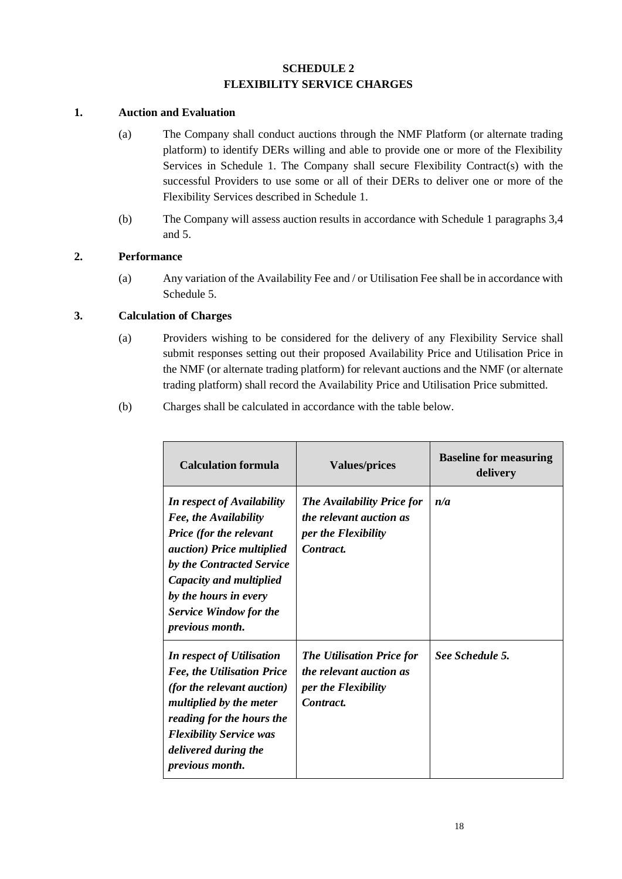# **SCHEDULE 2 FLEXIBILITY SERVICE CHARGES**

#### <span id="page-17-0"></span>**1. Auction and Evaluation**

- (a) The Company shall conduct auctions through the NMF Platform (or alternate trading platform) to identify DERs willing and able to provide one or more of the Flexibility Services in Schedule 1. The Company shall secure Flexibility Contract(s) with the successful Providers to use some or all of their DERs to deliver one or more of the Flexibility Services described in Schedule 1.
- (b) The Company will assess auction results in accordance with Schedule 1 paragraphs 3,4 and 5.

#### **2. Performance**

(a) Any variation of the Availability Fee and / or Utilisation Fee shall be in accordance with Schedule 5.

### **3. Calculation of Charges**

- (a) Providers wishing to be considered for the delivery of any Flexibility Service shall submit responses setting out their proposed Availability Price and Utilisation Price in the NMF (or alternate trading platform) for relevant auctions and the NMF (or alternate trading platform) shall record the Availability Price and Utilisation Price submitted.
- (b) Charges shall be calculated in accordance with the table below.

| <b>Calculation formula</b>                                                                                                                                                                                                                                                    | <b>Values/prices</b>                                                                                    | <b>Baseline for measuring</b><br>delivery |
|-------------------------------------------------------------------------------------------------------------------------------------------------------------------------------------------------------------------------------------------------------------------------------|---------------------------------------------------------------------------------------------------------|-------------------------------------------|
| <b>In respect of Availability</b><br>Fee, the Availability<br><b>Price</b> (for the relevant<br><i>auction</i> ) Price multiplied<br>by the Contracted Service<br>Capacity and multiplied<br>by the hours in every<br><b>Service Window for the</b><br><i>previous month.</i> | <b>The Availability Price for</b><br><i>the relevant auction as</i><br>per the Flexibility<br>Contract. | n/a                                       |
| In respect of Utilisation<br><b>Fee, the Utilisation Price</b><br><i>(for the relevant auction)</i><br>multiplied by the meter<br>reading for the hours the<br><b>Flexibility Service was</b><br>delivered during the<br><i>previous month.</i>                               | <b>The Utilisation Price for</b><br>the relevant auction as<br>per the Flexibility<br>Contract.         | See Schedule 5.                           |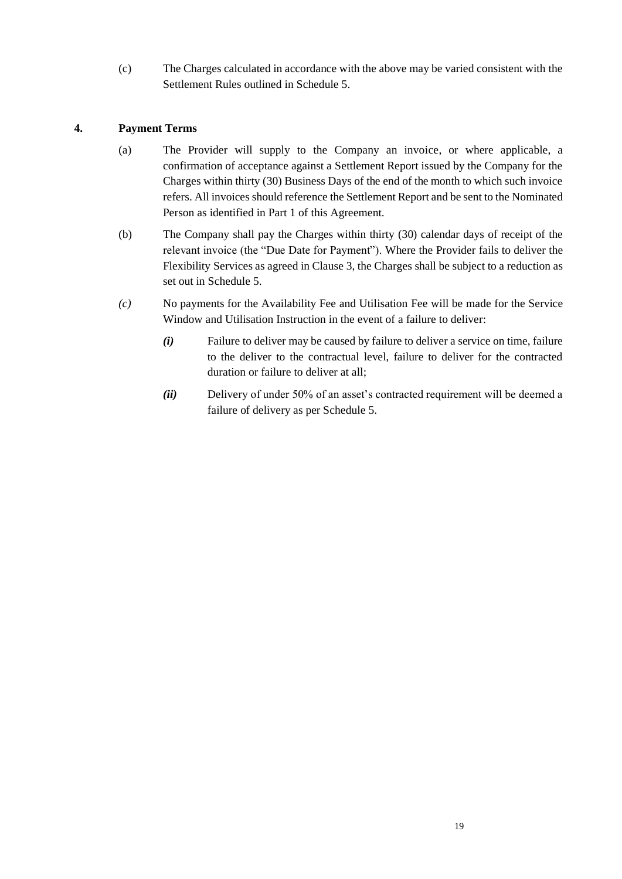(c) The Charges calculated in accordance with the above may be varied consistent with the Settlement Rules outlined in Schedule 5.

# **4. Payment Terms**

- (a) The Provider will supply to the Company an invoice, or where applicable, a confirmation of acceptance against a Settlement Report issued by the Company for the Charges within thirty (30) Business Days of the end of the month to which such invoice refers. All invoices should reference the Settlement Report and be sent to the Nominated Person as identified in Part 1 of this Agreement.
- (b) The Company shall pay the Charges within thirty (30) calendar days of receipt of the relevant invoice (the "Due Date for Payment"). Where the Provider fails to deliver the Flexibility Services as agreed in Clause 3, the Charges shall be subject to a reduction as set out in [Schedule 5.](#page-22-0)
- *(c)* No payments for the Availability Fee and Utilisation Fee will be made for the Service Window and Utilisation Instruction in the event of a failure to deliver:
	- *(i)* Failure to deliver may be caused by failure to deliver a service on time, failure to the deliver to the contractual level, failure to deliver for the contracted duration or failure to deliver at all;
	- *(ii)* Delivery of under 50% of an asset's contracted requirement will be deemed a failure of delivery as per [Schedule 5.](#page-22-0)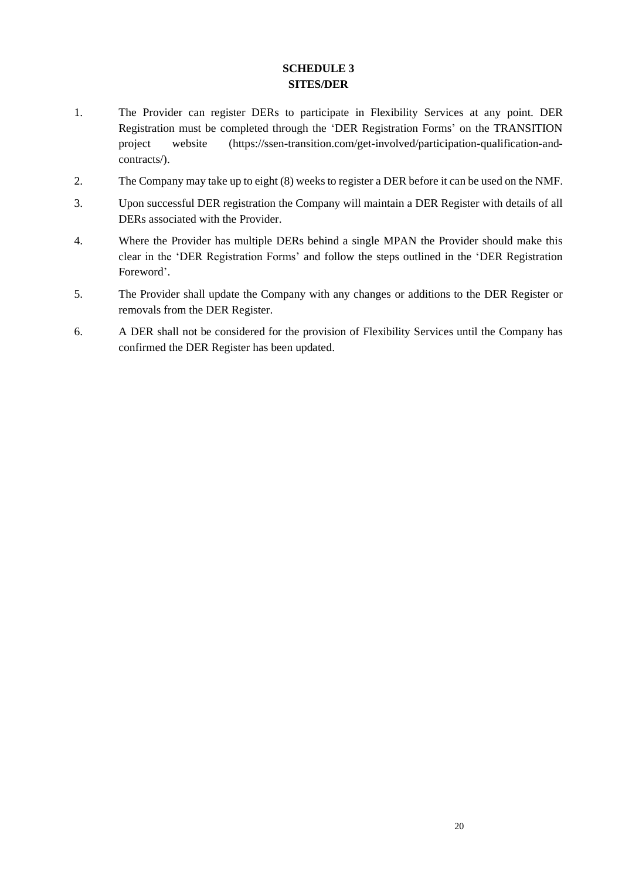# **SCHEDULE 3 SITES/DER**

- <span id="page-19-0"></span>1. The Provider can register DERs to participate in Flexibility Services at any point. DER Registration must be completed through the 'DER Registration Forms' on the TRANSITION project website (https://ssen-transition.com/get-involved/participation-qualification-andcontracts/).
- 2. The Company may take up to eight (8) weeks to register a DER before it can be used on the NMF.
- 3. Upon successful DER registration the Company will maintain a DER Register with details of all DERs associated with the Provider.
- 4. Where the Provider has multiple DERs behind a single MPAN the Provider should make this clear in the 'DER Registration Forms' and follow the steps outlined in the 'DER Registration Foreword'.
- 5. The Provider shall update the Company with any changes or additions to the DER Register or removals from the DER Register.
- 6. A DER shall not be considered for the provision of Flexibility Services until the Company has confirmed the DER Register has been updated.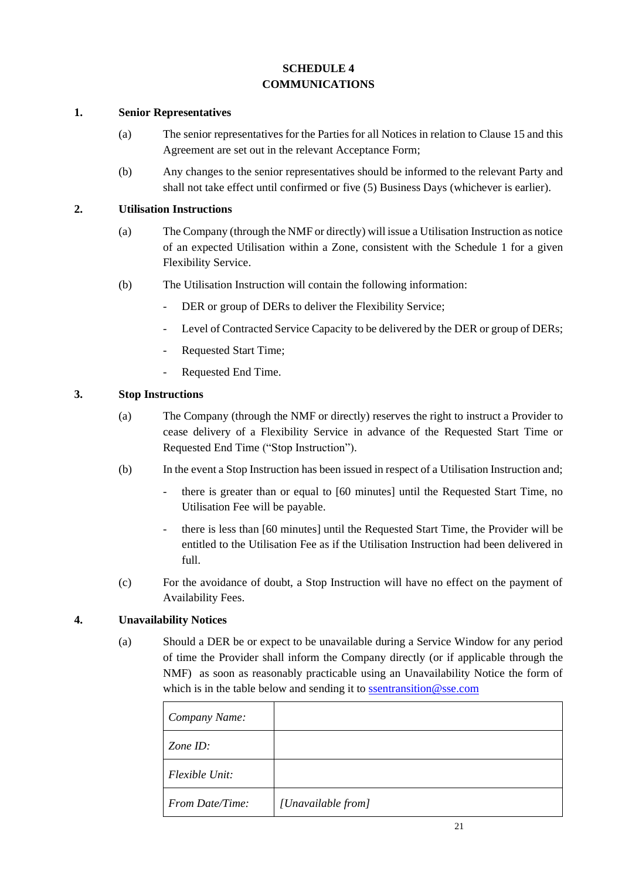# **SCHEDULE 4 COMMUNICATIONS**

#### <span id="page-20-0"></span>**1. Senior Representatives**

- (a) The senior representatives for the Parties for all Notices in relation to Clause 15 and this Agreement are set out in the relevant Acceptance Form;
- (b) Any changes to the senior representatives should be informed to the relevant Party and shall not take effect until confirmed or five (5) Business Days (whichever is earlier).

#### **2. Utilisation Instructions**

- (a) The Company (through the NMF or directly) will issue a Utilisation Instruction as notice of an expected Utilisation within a Zone, consistent with the [Schedule 1](#page-14-0) for a given Flexibility Service.
- (b) The Utilisation Instruction will contain the following information:
	- DER or group of DERs to deliver the Flexibility Service;
	- Level of Contracted Service Capacity to be delivered by the DER or group of DERs;
	- Requested Start Time;
	- Requested End Time.

#### **3. Stop Instructions**

- (a) The Company (through the NMF or directly) reserves the right to instruct a Provider to cease delivery of a Flexibility Service in advance of the Requested Start Time or Requested End Time ("Stop Instruction").
- (b) In the event a Stop Instruction has been issued in respect of a Utilisation Instruction and;
	- there is greater than or equal to [60 minutes] until the Requested Start Time, no Utilisation Fee will be payable.
	- there is less than [60 minutes] until the Requested Start Time, the Provider will be entitled to the Utilisation Fee as if the Utilisation Instruction had been delivered in full.
- (c) For the avoidance of doubt, a Stop Instruction will have no effect on the payment of Availability Fees.

### **4. Unavailability Notices**

(a) Should a DER be or expect to be unavailable during a Service Window for any period of time the Provider shall inform the Company directly (or if applicable through the NMF) as soon as reasonably practicable using an Unavailability Notice the form of which is in the table below and sending it t[o ssentransition@sse.com](mailto:ssentransition@sse.com)

| Company Name:   |                    |
|-----------------|--------------------|
| Zone $ID$ :     |                    |
| Flexible Unit:  |                    |
| From Date/Time: | [Unavailable from] |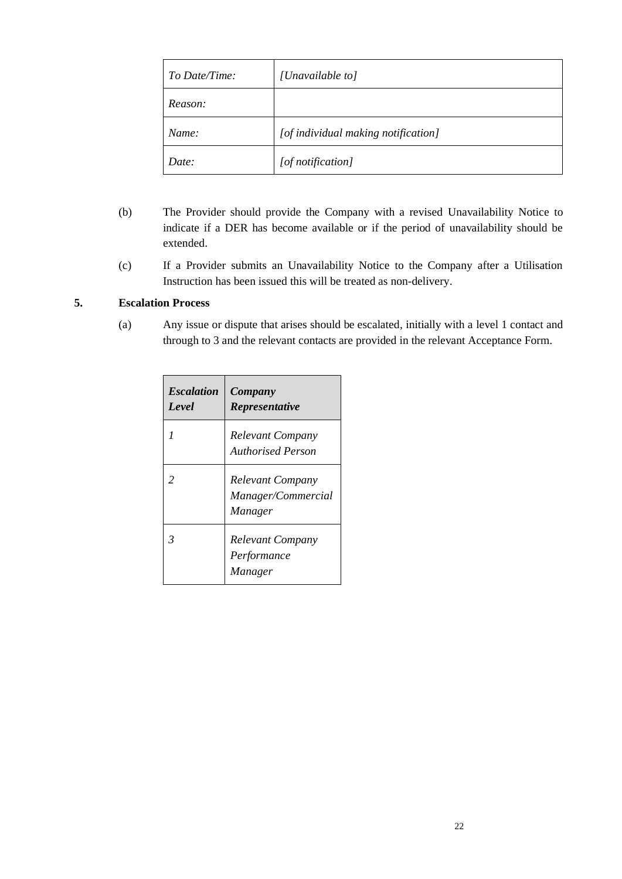| To Date/Time: | [Unavailable to]                    |
|---------------|-------------------------------------|
| Reason:       |                                     |
| Name:         | [of individual making notification] |
| Date:         | [of notification]                   |

- (b) The Provider should provide the Company with a revised Unavailability Notice to indicate if a DER has become available or if the period of unavailability should be extended.
- (c) If a Provider submits an Unavailability Notice to the Company after a Utilisation Instruction has been issued this will be treated as non-delivery.

### **5. Escalation Process**

(a) Any issue or dispute that arises should be escalated, initially with a level 1 contact and through to 3 and the relevant contacts are provided in the relevant Acceptance Form.

| <b>Escalation</b><br>Level | Company<br><b>Representative</b>                         |
|----------------------------|----------------------------------------------------------|
|                            | <b>Relevant Company</b><br><b>Authorised Person</b>      |
| $\mathfrak{D}$             | <b>Relevant Company</b><br>Manager/Commercial<br>Manager |
| $\overline{\mathbf{3}}$    | Relevant Company<br>Performance<br>Manager               |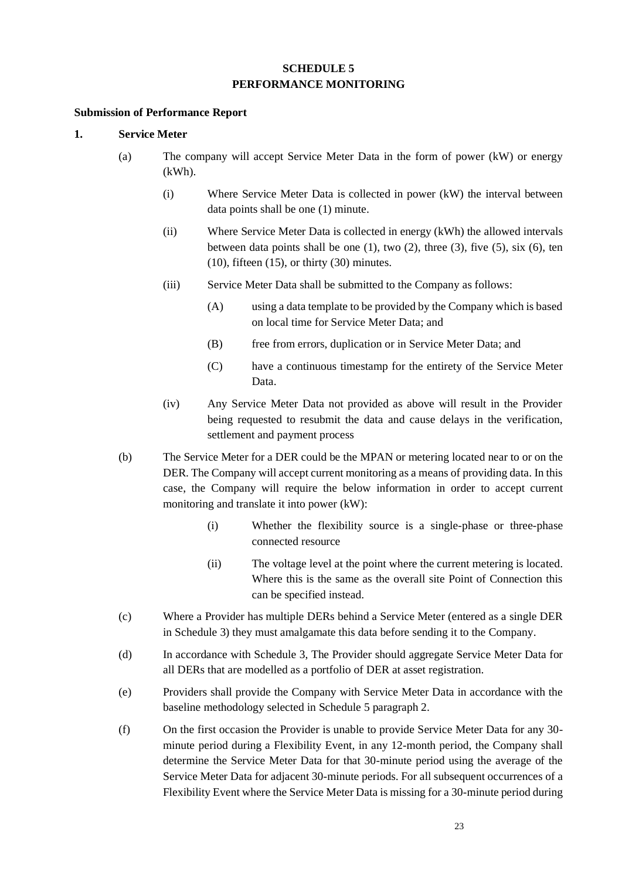### **SCHEDULE 5 PERFORMANCE MONITORING**

#### <span id="page-22-0"></span>**Submission of Performance Report**

### **1. Service Meter**

- (a) The company will accept Service Meter Data in the form of power (kW) or energy (kWh).
	- (i) Where Service Meter Data is collected in power (kW) the interval between data points shall be one (1) minute.
	- (ii) Where Service Meter Data is collected in energy (kWh) the allowed intervals between data points shall be one  $(1)$ , two  $(2)$ , three  $(3)$ , five  $(5)$ , six  $(6)$ , ten  $(10)$ , fifteen  $(15)$ , or thirty  $(30)$  minutes.
	- (iii) Service Meter Data shall be submitted to the Company as follows:
		- (A) using a data template to be provided by the Company which is based on local time for Service Meter Data; and
		- (B) free from errors, duplication or in Service Meter Data; and
		- (C) have a continuous timestamp for the entirety of the Service Meter Data.
	- (iv) Any Service Meter Data not provided as above will result in the Provider being requested to resubmit the data and cause delays in the verification, settlement and payment process
- (b) The Service Meter for a DER could be the MPAN or metering located near to or on the DER. The Company will accept current monitoring as a means of providing data. In this case, the Company will require the below information in order to accept current monitoring and translate it into power (kW):
	- (i) Whether the flexibility source is a single-phase or three-phase connected resource
	- (ii) The voltage level at the point where the current metering is located. Where this is the same as the overall site Point of Connection this can be specified instead.
- (c) Where a Provider has multiple DERs behind a Service Meter (entered as a single DER in Schedule 3) they must amalgamate this data before sending it to the Company.
- (d) In accordance with Schedule 3, The Provider should aggregate Service Meter Data for all DERs that are modelled as a portfolio of DER at asset registration.
- (e) Providers shall provide the Company with Service Meter Data in accordance with the baseline methodology selected in Schedule 5 paragraph [2.](#page-23-0)
- (f) On the first occasion the Provider is unable to provide Service Meter Data for any 30 minute period during a Flexibility Event, in any 12-month period, the Company shall determine the Service Meter Data for that 30-minute period using the average of the Service Meter Data for adjacent 30-minute periods. For all subsequent occurrences of a Flexibility Event where the Service Meter Data is missing for a 30-minute period during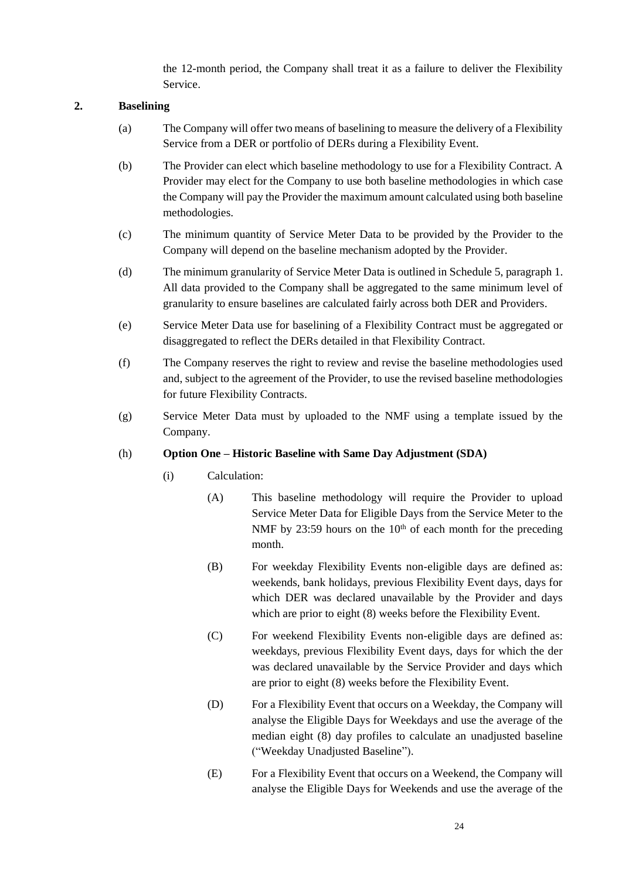the 12-month period, the Company shall treat it as a failure to deliver the Flexibility Service.

### <span id="page-23-0"></span>**2. Baselining**

- (a) The Company will offer two means of baselining to measure the delivery of a Flexibility Service from a DER or portfolio of DERs during a Flexibility Event.
- (b) The Provider can elect which baseline methodology to use for a Flexibility Contract. A Provider may elect for the Company to use both baseline methodologies in which case the Company will pay the Provider the maximum amount calculated using both baseline methodologies.
- (c) The minimum quantity of Service Meter Data to be provided by the Provider to the Company will depend on the baseline mechanism adopted by the Provider.
- (d) The minimum granularity of Service Meter Data is outlined in Schedule 5, paragraph 1. All data provided to the Company shall be aggregated to the same minimum level of granularity to ensure baselines are calculated fairly across both DER and Providers.
- (e) Service Meter Data use for baselining of a Flexibility Contract must be aggregated or disaggregated to reflect the DERs detailed in that Flexibility Contract.
- (f) The Company reserves the right to review and revise the baseline methodologies used and, subject to the agreement of the Provider, to use the revised baseline methodologies for future Flexibility Contracts.
- (g) Service Meter Data must by uploaded to the NMF using a template issued by the Company.

#### <span id="page-23-1"></span>(h) **Option One – Historic Baseline with Same Day Adjustment (SDA)**

- (i) Calculation:
	- (A) This baseline methodology will require the Provider to upload Service Meter Data for Eligible Days from the Service Meter to the NMF by 23:59 hours on the  $10<sup>th</sup>$  of each month for the preceding month.
	- (B) For weekday Flexibility Events non-eligible days are defined as: weekends, bank holidays, previous Flexibility Event days, days for which DER was declared unavailable by the Provider and days which are prior to eight  $(8)$  weeks before the Flexibility Event.
	- (C) For weekend Flexibility Events non-eligible days are defined as: weekdays, previous Flexibility Event days, days for which the der was declared unavailable by the Service Provider and days which are prior to eight (8) weeks before the Flexibility Event.
	- (D) For a Flexibility Event that occurs on a Weekday, the Company will analyse the Eligible Days for Weekdays and use the average of the median eight (8) day profiles to calculate an unadjusted baseline ("Weekday Unadjusted Baseline").
	- (E) For a Flexibility Event that occurs on a Weekend, the Company will analyse the Eligible Days for Weekends and use the average of the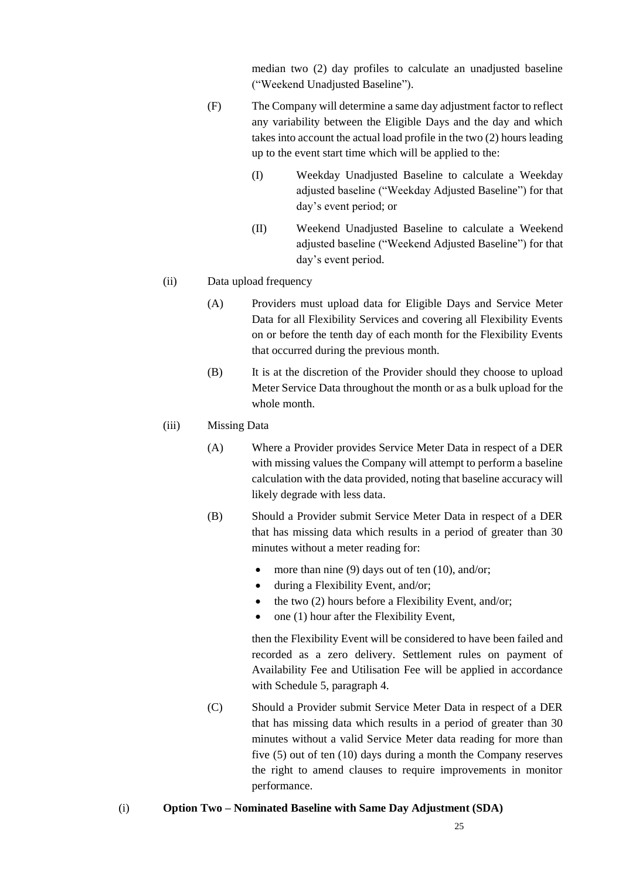median two (2) day profiles to calculate an unadjusted baseline ("Weekend Unadjusted Baseline").

- (F) The Company will determine a same day adjustment factor to reflect any variability between the Eligible Days and the day and which takes into account the actual load profile in the two (2) hours leading up to the event start time which will be applied to the:
	- (I) Weekday Unadjusted Baseline to calculate a Weekday adjusted baseline ("Weekday Adjusted Baseline") for that day's event period; or
	- (II) Weekend Unadjusted Baseline to calculate a Weekend adjusted baseline ("Weekend Adjusted Baseline") for that day's event period.

#### (ii) Data upload frequency

- (A) Providers must upload data for Eligible Days and Service Meter Data for all Flexibility Services and covering all Flexibility Events on or before the tenth day of each month for the Flexibility Events that occurred during the previous month.
- (B) It is at the discretion of the Provider should they choose to upload Meter Service Data throughout the month or as a bulk upload for the whole month.

#### (iii) Missing Data

- (A) Where a Provider provides Service Meter Data in respect of a DER with missing values the Company will attempt to perform a baseline calculation with the data provided, noting that baseline accuracy will likely degrade with less data.
- (B) Should a Provider submit Service Meter Data in respect of a DER that has missing data which results in a period of greater than 30 minutes without a meter reading for:
	- more than nine  $(9)$  days out of ten  $(10)$ , and/or;
	- during a Flexibility Event, and/or;
	- the two  $(2)$  hours before a Flexibility Event, and/or;
	- one  $(1)$  hour after the Flexibility Event,

then the Flexibility Event will be considered to have been failed and recorded as a zero delivery. Settlement rules on payment of Availability Fee and Utilisation Fee will be applied in accordance with Schedule 5, paragraph 4.

- (C) Should a Provider submit Service Meter Data in respect of a DER that has missing data which results in a period of greater than 30 minutes without a valid Service Meter data reading for more than five (5) out of ten (10) days during a month the Company reserves the right to amend clauses to require improvements in monitor performance.
- (i) **Option Two – Nominated Baseline with Same Day Adjustment (SDA)**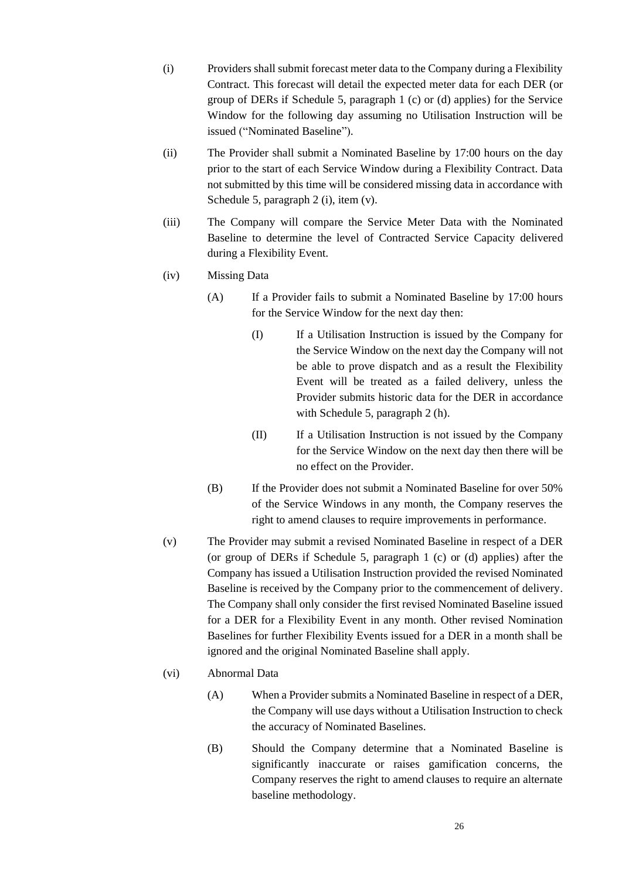- (i) Providers shall submit forecast meter data to the Company during a Flexibility Contract. This forecast will detail the expected meter data for each DER (or group of DERs if Schedule 5, paragraph 1 (c) or (d) applies) for the Service Window for the following day assuming no Utilisation Instruction will be issued ("Nominated Baseline").
- (ii) The Provider shall submit a Nominated Baseline by 17:00 hours on the day prior to the start of each Service Window during a Flexibility Contract. Data not submitted by this time will be considered missing data in accordance with Schedule 5, paragraph 2 (i), item (v).
- (iii) The Company will compare the Service Meter Data with the Nominated Baseline to determine the level of Contracted Service Capacity delivered during a Flexibility Event.
- (iv) Missing Data
	- (A) If a Provider fails to submit a Nominated Baseline by 17:00 hours for the Service Window for the next day then:
		- (I) If a Utilisation Instruction is issued by the Company for the Service Window on the next day the Company will not be able to prove dispatch and as a result the Flexibility Event will be treated as a failed delivery, unless the Provider submits historic data for the DER in accordance with Schedule 5, paragraph 2 [\(h\).](#page-23-1)
		- (II) If a Utilisation Instruction is not issued by the Company for the Service Window on the next day then there will be no effect on the Provider.
	- (B) If the Provider does not submit a Nominated Baseline for over 50% of the Service Windows in any month, the Company reserves the right to amend clauses to require improvements in performance.
- (v) The Provider may submit a revised Nominated Baseline in respect of a DER (or group of DERs if Schedule 5, paragraph 1 (c) or (d) applies) after the Company has issued a Utilisation Instruction provided the revised Nominated Baseline is received by the Company prior to the commencement of delivery. The Company shall only consider the first revised Nominated Baseline issued for a DER for a Flexibility Event in any month. Other revised Nomination Baselines for further Flexibility Events issued for a DER in a month shall be ignored and the original Nominated Baseline shall apply.
- (vi) Abnormal Data
	- (A) When a Provider submits a Nominated Baseline in respect of a DER, the Company will use days without a Utilisation Instruction to check the accuracy of Nominated Baselines.
	- (B) Should the Company determine that a Nominated Baseline is significantly inaccurate or raises gamification concerns, the Company reserves the right to amend clauses to require an alternate baseline methodology.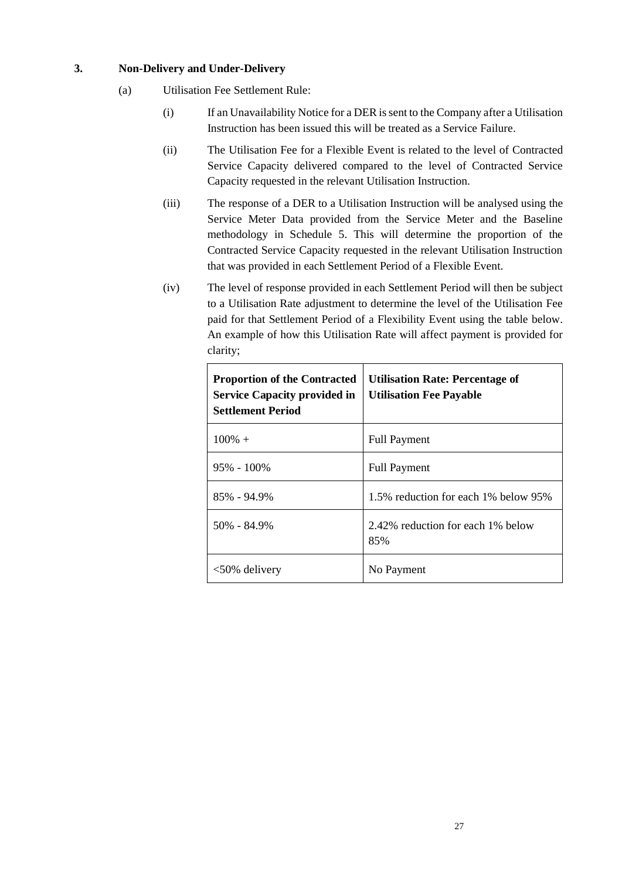#### **3. Non-Delivery and Under-Delivery**

- (a) Utilisation Fee Settlement Rule:
	- (i) If an Unavailability Notice for a DER is sent to the Company after a Utilisation Instruction has been issued this will be treated as a Service Failure.
	- (ii) The Utilisation Fee for a Flexible Event is related to the level of Contracted Service Capacity delivered compared to the level of Contracted Service Capacity requested in the relevant Utilisation Instruction.
	- (iii) The response of a DER to a Utilisation Instruction will be analysed using the Service Meter Data provided from the Service Meter and the Baseline methodology in Schedule 5. This will determine the proportion of the Contracted Service Capacity requested in the relevant Utilisation Instruction that was provided in each Settlement Period of a Flexible Event.
	- (iv) The level of response provided in each Settlement Period will then be subject to a Utilisation Rate adjustment to determine the level of the Utilisation Fee paid for that Settlement Period of a Flexibility Event using the table below. An example of how this Utilisation Rate will affect payment is provided for clarity;

| <b>Proportion of the Contracted</b><br><b>Service Capacity provided in</b><br><b>Settlement Period</b> | <b>Utilisation Rate: Percentage of</b><br><b>Utilisation Fee Payable</b> |
|--------------------------------------------------------------------------------------------------------|--------------------------------------------------------------------------|
| $100\% +$                                                                                              | <b>Full Payment</b>                                                      |
| $95\% - 100\%$                                                                                         | <b>Full Payment</b>                                                      |
| 85% - 94.9%                                                                                            | 1.5% reduction for each 1% below 95%                                     |
| $50\% - 84.9\%$                                                                                        | 2.42% reduction for each 1% below<br>85%                                 |
| $<50\%$ delivery                                                                                       | No Payment                                                               |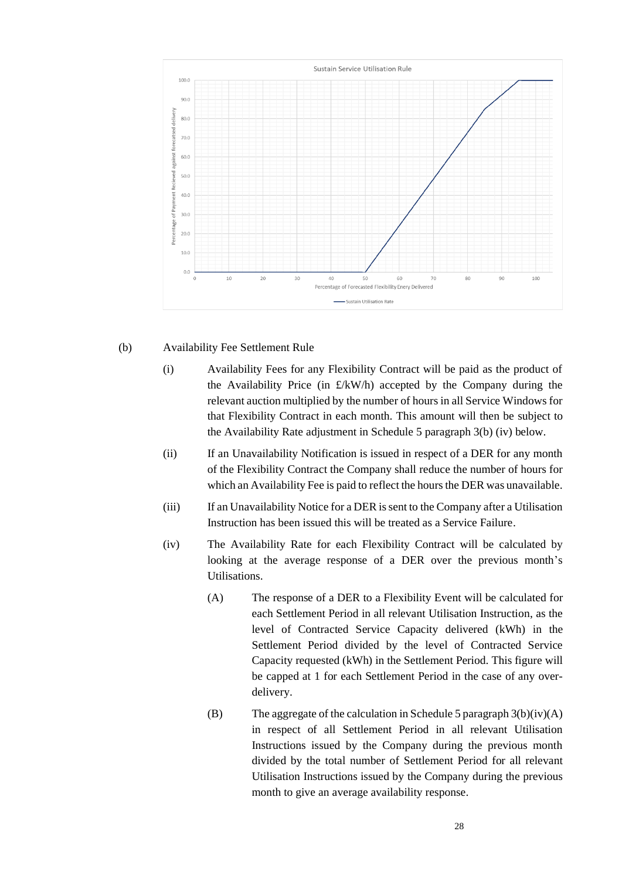

#### (b) Availability Fee Settlement Rule

- (i) Availability Fees for any Flexibility Contract will be paid as the product of the Availability Price (in  $\text{£/kW/h}$ ) accepted by the Company during the relevant auction multiplied by the number of hours in all Service Windows for that Flexibility Contract in each month. This amount will then be subject to the Availability Rate adjustment in Schedule 5 paragraph 3(b) (iv) below.
- (ii) If an Unavailability Notification is issued in respect of a DER for any month of the Flexibility Contract the Company shall reduce the number of hours for which an Availability Fee is paid to reflect the hours the DER was unavailable.
- (iii) If an Unavailability Notice for a DER is sent to the Company after a Utilisation Instruction has been issued this will be treated as a Service Failure.
- (iv) The Availability Rate for each Flexibility Contract will be calculated by looking at the average response of a DER over the previous month's Utilisations.
	- (A) The response of a DER to a Flexibility Event will be calculated for each Settlement Period in all relevant Utilisation Instruction, as the level of Contracted Service Capacity delivered (kWh) in the Settlement Period divided by the level of Contracted Service Capacity requested (kWh) in the Settlement Period. This figure will be capped at 1 for each Settlement Period in the case of any overdelivery.
	- (B) The aggregate of the calculation in Schedule 5 paragraph  $3(b)(iv)(A)$ in respect of all Settlement Period in all relevant Utilisation Instructions issued by the Company during the previous month divided by the total number of Settlement Period for all relevant Utilisation Instructions issued by the Company during the previous month to give an average availability response.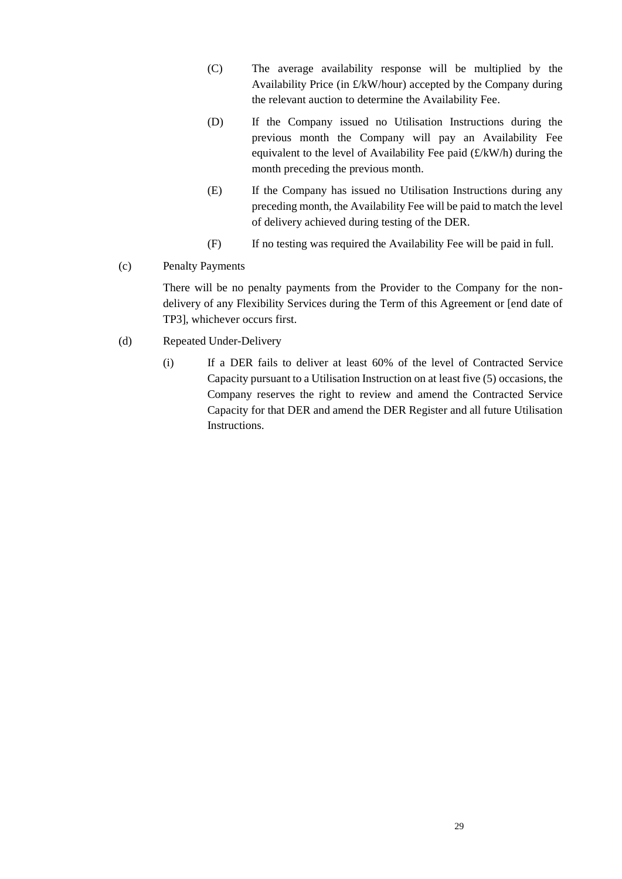- (C) The average availability response will be multiplied by the Availability Price (in £/kW/hour) accepted by the Company during the relevant auction to determine the Availability Fee.
- (D) If the Company issued no Utilisation Instructions during the previous month the Company will pay an Availability Fee equivalent to the level of Availability Fee paid  $(E/kW/h)$  during the month preceding the previous month.
- (E) If the Company has issued no Utilisation Instructions during any preceding month, the Availability Fee will be paid to match the level of delivery achieved during testing of the DER.
- (F) If no testing was required the Availability Fee will be paid in full.
- (c) Penalty Payments

There will be no penalty payments from the Provider to the Company for the nondelivery of any Flexibility Services during the Term of this Agreement or [end date of TP3], whichever occurs first.

- (d) Repeated Under-Delivery
	- (i) If a DER fails to deliver at least 60% of the level of Contracted Service Capacity pursuant to a Utilisation Instruction on at least five (5) occasions, the Company reserves the right to review and amend the Contracted Service Capacity for that DER and amend the DER Register and all future Utilisation Instructions.